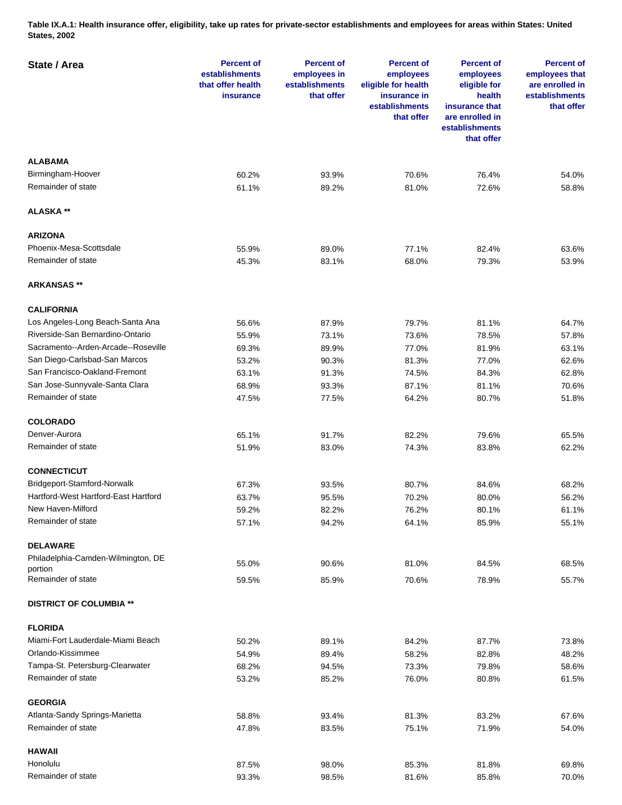**Table IX.A.1: Health insurance offer, eligibility, take up rates for private-sector establishments and employees for areas within States: United States, 2002** 

| State / Area                         | <b>Percent of</b><br>establishments<br>that offer health<br>insurance | <b>Percent of</b><br>employees in<br>establishments<br>that offer | <b>Percent of</b><br>employees<br>eligible for health<br>insurance in<br>establishments<br>that offer | <b>Percent of</b><br>employees<br>eligible for<br>health<br>insurance that<br>are enrolled in<br>establishments<br>that offer | <b>Percent of</b><br>employees that<br>are enrolled in<br>establishments<br>that offer |
|--------------------------------------|-----------------------------------------------------------------------|-------------------------------------------------------------------|-------------------------------------------------------------------------------------------------------|-------------------------------------------------------------------------------------------------------------------------------|----------------------------------------------------------------------------------------|
| <b>ALABAMA</b>                       |                                                                       |                                                                   |                                                                                                       |                                                                                                                               |                                                                                        |
| Birmingham-Hoover                    | 60.2%                                                                 | 93.9%                                                             | 70.6%                                                                                                 | 76.4%                                                                                                                         | 54.0%                                                                                  |
| Remainder of state                   | 61.1%                                                                 | 89.2%                                                             | 81.0%                                                                                                 | 72.6%                                                                                                                         | 58.8%                                                                                  |
| <b>ALASKA**</b>                      |                                                                       |                                                                   |                                                                                                       |                                                                                                                               |                                                                                        |
| <b>ARIZONA</b>                       |                                                                       |                                                                   |                                                                                                       |                                                                                                                               |                                                                                        |
| Phoenix-Mesa-Scottsdale              | 55.9%                                                                 | 89.0%                                                             | 77.1%                                                                                                 | 82.4%                                                                                                                         | 63.6%                                                                                  |
| Remainder of state                   | 45.3%                                                                 | 83.1%                                                             | 68.0%                                                                                                 | 79.3%                                                                                                                         | 53.9%                                                                                  |
| <b>ARKANSAS **</b>                   |                                                                       |                                                                   |                                                                                                       |                                                                                                                               |                                                                                        |
| <b>CALIFORNIA</b>                    |                                                                       |                                                                   |                                                                                                       |                                                                                                                               |                                                                                        |
| Los Angeles-Long Beach-Santa Ana     | 56.6%                                                                 | 87.9%                                                             | 79.7%                                                                                                 | 81.1%                                                                                                                         | 64.7%                                                                                  |
| Riverside-San Bernardino-Ontario     | 55.9%                                                                 | 73.1%                                                             | 73.6%                                                                                                 | 78.5%                                                                                                                         | 57.8%                                                                                  |
| Sacramento--Arden-Arcade--Roseville  | 69.3%                                                                 | 89.9%                                                             | 77.0%                                                                                                 | 81.9%                                                                                                                         | 63.1%                                                                                  |
| San Diego-Carlsbad-San Marcos        | 53.2%                                                                 | 90.3%                                                             | 81.3%                                                                                                 | 77.0%                                                                                                                         | 62.6%                                                                                  |
| San Francisco-Oakland-Fremont        | 63.1%                                                                 | 91.3%                                                             | 74.5%                                                                                                 | 84.3%                                                                                                                         | 62.8%                                                                                  |
| San Jose-Sunnyvale-Santa Clara       | 68.9%                                                                 | 93.3%                                                             | 87.1%                                                                                                 | 81.1%                                                                                                                         | 70.6%                                                                                  |
| Remainder of state                   | 47.5%                                                                 | 77.5%                                                             | 64.2%                                                                                                 | 80.7%                                                                                                                         | 51.8%                                                                                  |
| <b>COLORADO</b>                      |                                                                       |                                                                   |                                                                                                       |                                                                                                                               |                                                                                        |
| Denver-Aurora                        |                                                                       |                                                                   |                                                                                                       |                                                                                                                               |                                                                                        |
| Remainder of state                   | 65.1%<br>51.9%                                                        | 91.7%<br>83.0%                                                    | 82.2%<br>74.3%                                                                                        | 79.6%<br>83.8%                                                                                                                | 65.5%<br>62.2%                                                                         |
|                                      |                                                                       |                                                                   |                                                                                                       |                                                                                                                               |                                                                                        |
| <b>CONNECTICUT</b>                   |                                                                       |                                                                   |                                                                                                       |                                                                                                                               |                                                                                        |
| Bridgeport-Stamford-Norwalk          | 67.3%                                                                 | 93.5%                                                             | 80.7%                                                                                                 | 84.6%                                                                                                                         | 68.2%                                                                                  |
| Hartford-West Hartford-East Hartford | 63.7%                                                                 | 95.5%                                                             | 70.2%                                                                                                 | 80.0%                                                                                                                         | 56.2%                                                                                  |
| New Haven-Milford                    | 59.2%                                                                 | 82.2%                                                             | 76.2%                                                                                                 | 80.1%                                                                                                                         | 61.1%                                                                                  |
| Remainder of state                   | 57.1%                                                                 | 94.2%                                                             | 64.1%                                                                                                 | 85.9%                                                                                                                         | 55.1%                                                                                  |
| <b>DELAWARE</b>                      |                                                                       |                                                                   |                                                                                                       |                                                                                                                               |                                                                                        |
| Philadelphia-Camden-Wilmington, DE   | 55.0%                                                                 | 90.6%                                                             | 81.0%                                                                                                 | 84.5%                                                                                                                         | 68.5%                                                                                  |
| portion<br>Remainder of state        | 59.5%                                                                 | 85.9%                                                             | 70.6%                                                                                                 | 78.9%                                                                                                                         | 55.7%                                                                                  |
| <b>DISTRICT OF COLUMBIA **</b>       |                                                                       |                                                                   |                                                                                                       |                                                                                                                               |                                                                                        |
|                                      |                                                                       |                                                                   |                                                                                                       |                                                                                                                               |                                                                                        |
| <b>FLORIDA</b>                       |                                                                       |                                                                   |                                                                                                       |                                                                                                                               |                                                                                        |
| Miami-Fort Lauderdale-Miami Beach    | 50.2%                                                                 | 89.1%                                                             | 84.2%                                                                                                 | 87.7%                                                                                                                         | 73.8%                                                                                  |
| Orlando-Kissimmee                    | 54.9%                                                                 | 89.4%                                                             | 58.2%                                                                                                 | 82.8%                                                                                                                         | 48.2%                                                                                  |
| Tampa-St. Petersburg-Clearwater      | 68.2%                                                                 | 94.5%                                                             | 73.3%                                                                                                 | 79.8%                                                                                                                         | 58.6%                                                                                  |
| Remainder of state                   | 53.2%                                                                 | 85.2%                                                             | 76.0%                                                                                                 | 80.8%                                                                                                                         | 61.5%                                                                                  |
| <b>GEORGIA</b>                       |                                                                       |                                                                   |                                                                                                       |                                                                                                                               |                                                                                        |
| Atlanta-Sandy Springs-Marietta       | 58.8%                                                                 | 93.4%                                                             | 81.3%                                                                                                 | 83.2%                                                                                                                         | 67.6%                                                                                  |
| Remainder of state                   | 47.8%                                                                 | 83.5%                                                             | 75.1%                                                                                                 | 71.9%                                                                                                                         | 54.0%                                                                                  |
| <b>HAWAII</b>                        |                                                                       |                                                                   |                                                                                                       |                                                                                                                               |                                                                                        |
| Honolulu                             | 87.5%                                                                 | 98.0%                                                             | 85.3%                                                                                                 | 81.8%                                                                                                                         | 69.8%                                                                                  |
| Remainder of state                   | 93.3%                                                                 | 98.5%                                                             | 81.6%                                                                                                 | 85.8%                                                                                                                         | 70.0%                                                                                  |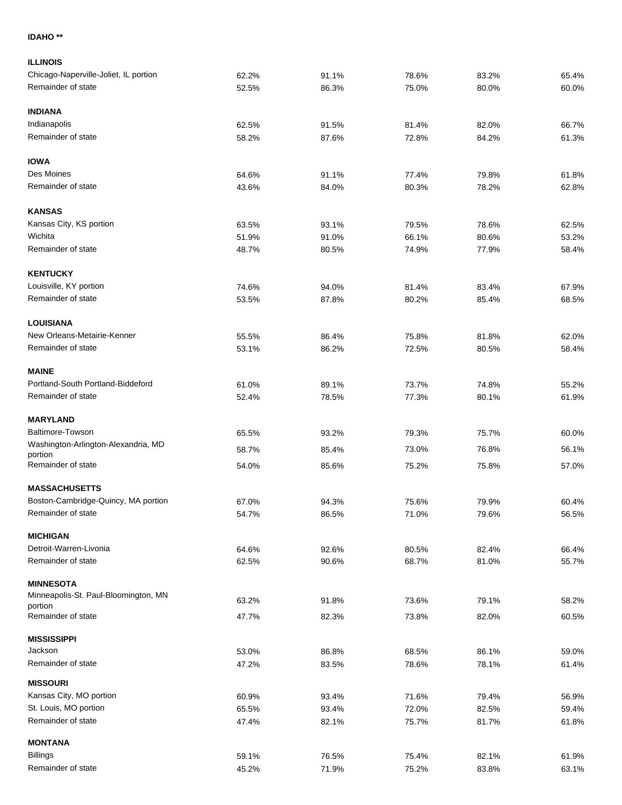## **IDAHO \*\***

| <b>ILLINOIS</b>                                |                |                |       |                |                |
|------------------------------------------------|----------------|----------------|-------|----------------|----------------|
| Chicago-Naperville-Joliet, IL portion          | 62.2%          | 91.1%          | 78.6% | 83.2%          | 65.4%          |
| Remainder of state                             | 52.5%          | 86.3%          | 75.0% | 80.0%          | 60.0%          |
|                                                |                |                |       |                |                |
| <b>INDIANA</b>                                 |                |                |       |                |                |
| Indianapolis                                   | 62.5%          | 91.5%          | 81.4% | 82.0%          | 66.7%          |
| Remainder of state                             | 58.2%          | 87.6%          | 72.8% | 84.2%          | 61.3%          |
| <b>IOWA</b>                                    |                |                |       |                |                |
| Des Moines                                     | 64.6%          | 91.1%          | 77.4% | 79.8%          | 61.8%          |
| Remainder of state                             | 43.6%          | 84.0%          | 80.3% | 78.2%          | 62.8%          |
| <b>KANSAS</b>                                  |                |                |       |                |                |
| Kansas City, KS portion                        |                |                | 79.5% |                |                |
| Wichita                                        | 63.5%<br>51.9% | 93.1%<br>91.0% | 66.1% | 78.6%<br>80.6% | 62.5%<br>53.2% |
| Remainder of state                             | 48.7%          | 80.5%          | 74.9% | 77.9%          | 58.4%          |
|                                                |                |                |       |                |                |
| <b>KENTUCKY</b>                                |                |                |       |                |                |
| Louisville, KY portion                         | 74.6%          | 94.0%          | 81.4% | 83.4%          | 67.9%          |
| Remainder of state                             | 53.5%          | 87.8%          | 80.2% | 85.4%          | 68.5%          |
| <b>LOUISIANA</b>                               |                |                |       |                |                |
| New Orleans-Metairie-Kenner                    | 55.5%          | 86.4%          | 75.8% | 81.8%          | 62.0%          |
| Remainder of state                             | 53.1%          | 86.2%          | 72.5% | 80.5%          | 58.4%          |
| <b>MAINE</b>                                   |                |                |       |                |                |
| Portland-South Portland-Biddeford              | 61.0%          | 89.1%          | 73.7% | 74.8%          | 55.2%          |
| Remainder of state                             | 52.4%          | 78.5%          | 77.3% | 80.1%          | 61.9%          |
|                                                |                |                |       |                |                |
| <b>MARYLAND</b>                                |                |                |       |                |                |
| Baltimore-Towson                               | 65.5%          | 93.2%          | 79.3% | 75.7%          | 60.0%          |
| Washington-Arlington-Alexandria, MD<br>portion | 58.7%          | 85.4%          | 73.0% | 76.8%          | 56.1%          |
| Remainder of state                             | 54.0%          | 85.6%          | 75.2% | 75.8%          | 57.0%          |
| <b>MASSACHUSETTS</b>                           |                |                |       |                |                |
| Boston-Cambridge-Quincy, MA portion            | 67.0%          | 94.3%          | 75.6% | 79.9%          | 60.4%          |
| Remainder of state                             | 54.7%          | 86.5%          | 71.0% | 79.6%          | 56.5%          |
|                                                |                |                |       |                |                |
| <b>MICHIGAN</b>                                |                |                |       |                |                |
| Detroit-Warren-Livonia                         | 64.6%          | 92.6%          | 80.5% | 82.4%          | 66.4%          |
| Remainder of state                             | 62.5%          | 90.6%          | 68.7% | 81.0%          | 55.7%          |
| <b>MINNESOTA</b>                               |                |                |       |                |                |
| Minneapolis-St. Paul-Bloomington, MN           | 63.2%          | 91.8%          | 73.6% | 79.1%          | 58.2%          |
| portion<br>Remainder of state                  | 47.7%          | 82.3%          | 73.8% | 82.0%          | 60.5%          |
|                                                |                |                |       |                |                |
| <b>MISSISSIPPI</b>                             |                |                |       |                |                |
| Jackson                                        | 53.0%          | 86.8%          | 68.5% | 86.1%          | 59.0%          |
| Remainder of state                             | 47.2%          | 83.5%          | 78.6% | 78.1%          | 61.4%          |
| <b>MISSOURI</b>                                |                |                |       |                |                |
| Kansas City, MO portion                        | 60.9%          | 93.4%          | 71.6% | 79.4%          | 56.9%          |
| St. Louis, MO portion                          | 65.5%          | 93.4%          | 72.0% | 82.5%          | 59.4%          |
| Remainder of state                             | 47.4%          | 82.1%          | 75.7% | 81.7%          | 61.8%          |
| <b>MONTANA</b>                                 |                |                |       |                |                |
| <b>Billings</b>                                | 59.1%          | 76.5%          | 75.4% | 82.1%          | 61.9%          |
| Remainder of state                             | 45.2%          | 71.9%          | 75.2% | 83.8%          | 63.1%          |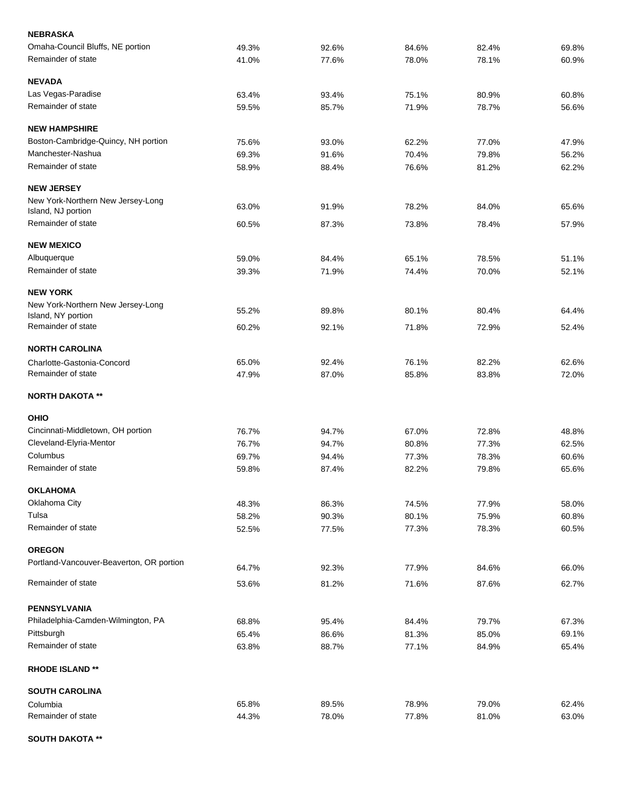| <b>NEBRASKA</b>                                         |       |       |       |       |       |
|---------------------------------------------------------|-------|-------|-------|-------|-------|
| Omaha-Council Bluffs, NE portion                        | 49.3% | 92.6% | 84.6% | 82.4% | 69.8% |
| Remainder of state                                      | 41.0% | 77.6% | 78.0% | 78.1% | 60.9% |
| <b>NEVADA</b>                                           |       |       |       |       |       |
| Las Vegas-Paradise                                      | 63.4% | 93.4% | 75.1% | 80.9% | 60.8% |
| Remainder of state                                      | 59.5% | 85.7% | 71.9% | 78.7% | 56.6% |
| <b>NEW HAMPSHIRE</b>                                    |       |       |       |       |       |
| Boston-Cambridge-Quincy, NH portion                     | 75.6% | 93.0% | 62.2% | 77.0% | 47.9% |
| Manchester-Nashua                                       | 69.3% | 91.6% | 70.4% | 79.8% | 56.2% |
| Remainder of state                                      | 58.9% | 88.4% | 76.6% | 81.2% | 62.2% |
| <b>NEW JERSEY</b>                                       |       |       |       |       |       |
| New York-Northern New Jersey-Long                       | 63.0% | 91.9% | 78.2% | 84.0% | 65.6% |
| Island, NJ portion                                      |       |       |       |       |       |
| Remainder of state                                      | 60.5% | 87.3% | 73.8% | 78.4% | 57.9% |
| <b>NEW MEXICO</b>                                       |       |       |       |       |       |
| Albuquerque                                             | 59.0% | 84.4% | 65.1% | 78.5% | 51.1% |
| Remainder of state                                      | 39.3% | 71.9% | 74.4% | 70.0% | 52.1% |
| <b>NEW YORK</b>                                         |       |       |       |       |       |
| New York-Northern New Jersey-Long<br>Island, NY portion | 55.2% | 89.8% | 80.1% | 80.4% | 64.4% |
| Remainder of state                                      | 60.2% | 92.1% | 71.8% | 72.9% | 52.4% |
| <b>NORTH CAROLINA</b>                                   |       |       |       |       |       |
| Charlotte-Gastonia-Concord                              | 65.0% | 92.4% | 76.1% | 82.2% | 62.6% |
| Remainder of state                                      | 47.9% | 87.0% | 85.8% | 83.8% | 72.0% |
| <b>NORTH DAKOTA **</b>                                  |       |       |       |       |       |
| <b>OHIO</b>                                             |       |       |       |       |       |
| Cincinnati-Middletown, OH portion                       | 76.7% | 94.7% | 67.0% | 72.8% | 48.8% |
| Cleveland-Elyria-Mentor                                 | 76.7% | 94.7% | 80.8% | 77.3% | 62.5% |
| Columbus                                                | 69.7% | 94.4% | 77.3% | 78.3% | 60.6% |
| Remainder of state                                      | 59.8% | 87.4% | 82.2% | 79.8% | 65.6% |
| <b>OKLAHOMA</b>                                         |       |       |       |       |       |
| Oklahoma City                                           | 48.3% | 86.3% | 74.5% | 77.9% | 58.0% |
| Tulsa                                                   | 58.2% | 90.3% | 80.1% | 75.9% | 60.8% |
| Remainder of state                                      | 52.5% | 77.5% | 77.3% | 78.3% | 60.5% |
| <b>OREGON</b>                                           |       |       |       |       |       |
| Portland-Vancouver-Beaverton, OR portion                | 64.7% | 92.3% | 77.9% | 84.6% | 66.0% |
| Remainder of state                                      | 53.6% | 81.2% | 71.6% | 87.6% | 62.7% |
| <b>PENNSYLVANIA</b>                                     |       |       |       |       |       |
| Philadelphia-Camden-Wilmington, PA                      | 68.8% | 95.4% | 84.4% | 79.7% | 67.3% |
| Pittsburgh                                              | 65.4% | 86.6% | 81.3% | 85.0% | 69.1% |
| Remainder of state                                      | 63.8% | 88.7% | 77.1% | 84.9% | 65.4% |
| <b>RHODE ISLAND **</b>                                  |       |       |       |       |       |
| <b>SOUTH CAROLINA</b>                                   |       |       |       |       |       |
| Columbia                                                | 65.8% | 89.5% | 78.9% | 79.0% | 62.4% |
| Remainder of state                                      | 44.3% | 78.0% | 77.8% | 81.0% | 63.0% |
|                                                         |       |       |       |       |       |

**SOUTH DAKOTA \*\***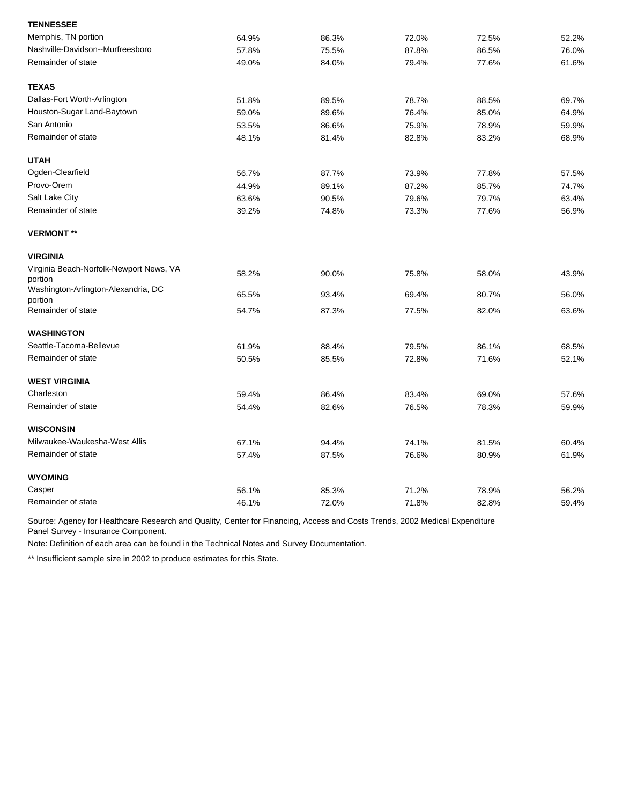| <b>TENNESSEE</b>                                   |       |       |       |       |       |
|----------------------------------------------------|-------|-------|-------|-------|-------|
| Memphis, TN portion                                | 64.9% | 86.3% | 72.0% | 72.5% | 52.2% |
| Nashville-Davidson--Murfreesboro                   | 57.8% | 75.5% | 87.8% | 86.5% | 76.0% |
| Remainder of state                                 | 49.0% | 84.0% | 79.4% | 77.6% | 61.6% |
| <b>TEXAS</b>                                       |       |       |       |       |       |
| Dallas-Fort Worth-Arlington                        | 51.8% | 89.5% | 78.7% | 88.5% | 69.7% |
| Houston-Sugar Land-Baytown                         | 59.0% | 89.6% | 76.4% | 85.0% | 64.9% |
| San Antonio                                        | 53.5% | 86.6% | 75.9% | 78.9% | 59.9% |
| Remainder of state                                 | 48.1% | 81.4% | 82.8% | 83.2% | 68.9% |
| <b>UTAH</b>                                        |       |       |       |       |       |
| Ogden-Clearfield                                   | 56.7% | 87.7% | 73.9% | 77.8% | 57.5% |
| Provo-Orem                                         | 44.9% | 89.1% | 87.2% | 85.7% | 74.7% |
| Salt Lake City                                     | 63.6% | 90.5% | 79.6% | 79.7% | 63.4% |
| Remainder of state                                 | 39.2% | 74.8% | 73.3% | 77.6% | 56.9% |
| <b>VERMONT **</b>                                  |       |       |       |       |       |
| <b>VIRGINIA</b>                                    |       |       |       |       |       |
| Virginia Beach-Norfolk-Newport News, VA<br>portion | 58.2% | 90.0% | 75.8% | 58.0% | 43.9% |
| Washington-Arlington-Alexandria, DC<br>portion     | 65.5% | 93.4% | 69.4% | 80.7% | 56.0% |
| Remainder of state                                 | 54.7% | 87.3% | 77.5% | 82.0% | 63.6% |
| <b>WASHINGTON</b>                                  |       |       |       |       |       |
| Seattle-Tacoma-Bellevue                            | 61.9% | 88.4% | 79.5% | 86.1% | 68.5% |
| Remainder of state                                 | 50.5% | 85.5% | 72.8% | 71.6% | 52.1% |
| <b>WEST VIRGINIA</b>                               |       |       |       |       |       |
| Charleston                                         | 59.4% | 86.4% | 83.4% | 69.0% | 57.6% |
| Remainder of state                                 | 54.4% | 82.6% | 76.5% | 78.3% | 59.9% |
| <b>WISCONSIN</b>                                   |       |       |       |       |       |
| Milwaukee-Waukesha-West Allis                      | 67.1% | 94.4% | 74.1% | 81.5% | 60.4% |
| Remainder of state                                 | 57.4% | 87.5% | 76.6% | 80.9% | 61.9% |
| <b>WYOMING</b>                                     |       |       |       |       |       |
| Casper                                             | 56.1% | 85.3% | 71.2% | 78.9% | 56.2% |
| Remainder of state                                 | 46.1% | 72.0% | 71.8% | 82.8% | 59.4% |

Note: Definition of each area can be found in the Technical Notes and Survey Documentation.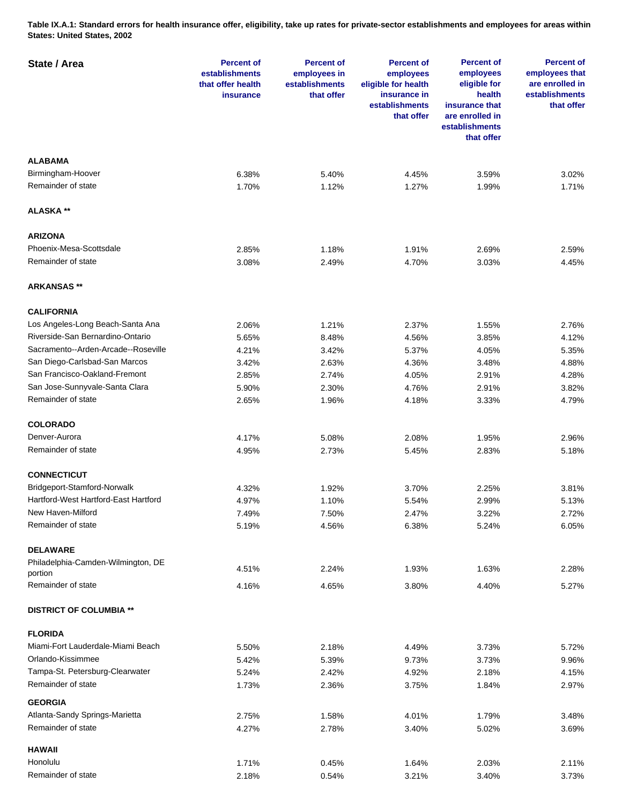**Table IX.A.1: Standard errors for health insurance offer, eligibility, take up rates for private-sector establishments and employees for areas within States: United States, 2002** 

| State / Area                         | <b>Percent of</b><br>establishments<br>that offer health<br><b>insurance</b> | <b>Percent of</b><br>employees in<br>establishments<br>that offer | <b>Percent of</b><br>employees<br>eligible for health<br>insurance in<br>establishments<br>that offer | <b>Percent of</b><br>employees<br>eligible for<br>health<br>insurance that<br>are enrolled in<br>establishments<br>that offer | <b>Percent of</b><br>employees that<br>are enrolled in<br>establishments<br>that offer |
|--------------------------------------|------------------------------------------------------------------------------|-------------------------------------------------------------------|-------------------------------------------------------------------------------------------------------|-------------------------------------------------------------------------------------------------------------------------------|----------------------------------------------------------------------------------------|
| <b>ALABAMA</b>                       |                                                                              |                                                                   |                                                                                                       |                                                                                                                               |                                                                                        |
| Birmingham-Hoover                    | 6.38%                                                                        | 5.40%                                                             | 4.45%                                                                                                 | 3.59%                                                                                                                         | 3.02%                                                                                  |
| Remainder of state                   | 1.70%                                                                        | 1.12%                                                             | 1.27%                                                                                                 | 1.99%                                                                                                                         | 1.71%                                                                                  |
| ALASKA **                            |                                                                              |                                                                   |                                                                                                       |                                                                                                                               |                                                                                        |
| <b>ARIZONA</b>                       |                                                                              |                                                                   |                                                                                                       |                                                                                                                               |                                                                                        |
| Phoenix-Mesa-Scottsdale              | 2.85%                                                                        | 1.18%                                                             | 1.91%                                                                                                 | 2.69%                                                                                                                         | 2.59%                                                                                  |
| Remainder of state                   | 3.08%                                                                        | 2.49%                                                             | 4.70%                                                                                                 | 3.03%                                                                                                                         | 4.45%                                                                                  |
| <b>ARKANSAS</b> **                   |                                                                              |                                                                   |                                                                                                       |                                                                                                                               |                                                                                        |
| <b>CALIFORNIA</b>                    |                                                                              |                                                                   |                                                                                                       |                                                                                                                               |                                                                                        |
| Los Angeles-Long Beach-Santa Ana     | 2.06%                                                                        | 1.21%                                                             | 2.37%                                                                                                 | 1.55%                                                                                                                         | 2.76%                                                                                  |
| Riverside-San Bernardino-Ontario     | 5.65%                                                                        | 8.48%                                                             | 4.56%                                                                                                 | 3.85%                                                                                                                         | 4.12%                                                                                  |
| Sacramento--Arden-Arcade--Roseville  | 4.21%                                                                        | 3.42%                                                             | 5.37%                                                                                                 | 4.05%                                                                                                                         | 5.35%                                                                                  |
| San Diego-Carlsbad-San Marcos        | 3.42%                                                                        | 2.63%                                                             | 4.36%                                                                                                 | 3.48%                                                                                                                         | 4.88%                                                                                  |
| San Francisco-Oakland-Fremont        | 2.85%                                                                        | 2.74%                                                             | 4.05%                                                                                                 | 2.91%                                                                                                                         | 4.28%                                                                                  |
|                                      |                                                                              |                                                                   |                                                                                                       |                                                                                                                               |                                                                                        |
| San Jose-Sunnyvale-Santa Clara       | 5.90%                                                                        | 2.30%                                                             | 4.76%                                                                                                 | 2.91%                                                                                                                         | 3.82%                                                                                  |
| Remainder of state                   | 2.65%                                                                        | 1.96%                                                             | 4.18%                                                                                                 | 3.33%                                                                                                                         | 4.79%                                                                                  |
| <b>COLORADO</b>                      |                                                                              |                                                                   |                                                                                                       |                                                                                                                               |                                                                                        |
| Denver-Aurora                        | 4.17%                                                                        | 5.08%                                                             | 2.08%                                                                                                 | 1.95%                                                                                                                         | 2.96%                                                                                  |
| Remainder of state                   | 4.95%                                                                        | 2.73%                                                             | 5.45%                                                                                                 | 2.83%                                                                                                                         | 5.18%                                                                                  |
| <b>CONNECTICUT</b>                   |                                                                              |                                                                   |                                                                                                       |                                                                                                                               |                                                                                        |
| Bridgeport-Stamford-Norwalk          | 4.32%                                                                        | 1.92%                                                             | 3.70%                                                                                                 | 2.25%                                                                                                                         | 3.81%                                                                                  |
| Hartford-West Hartford-East Hartford | 4.97%                                                                        | 1.10%                                                             | 5.54%                                                                                                 | 2.99%                                                                                                                         | 5.13%                                                                                  |
| New Haven-Milford                    | 7.49%                                                                        | 7.50%                                                             | 2.47%                                                                                                 | 3.22%                                                                                                                         | 2.72%                                                                                  |
| Remainder of state                   | 5.19%                                                                        | 4.56%                                                             | 6.38%                                                                                                 | 5.24%                                                                                                                         | 6.05%                                                                                  |
| <b>DELAWARE</b>                      |                                                                              |                                                                   |                                                                                                       |                                                                                                                               |                                                                                        |
| Philadelphia-Camden-Wilmington, DE   | 4.51%                                                                        | 2.24%                                                             | 1.93%                                                                                                 | 1.63%                                                                                                                         | 2.28%                                                                                  |
| portion<br>Remainder of state        | 4.16%                                                                        | 4.65%                                                             | 3.80%                                                                                                 | 4.40%                                                                                                                         | 5.27%                                                                                  |
| <b>DISTRICT OF COLUMBIA **</b>       |                                                                              |                                                                   |                                                                                                       |                                                                                                                               |                                                                                        |
| <b>FLORIDA</b>                       |                                                                              |                                                                   |                                                                                                       |                                                                                                                               |                                                                                        |
| Miami-Fort Lauderdale-Miami Beach    |                                                                              |                                                                   |                                                                                                       |                                                                                                                               |                                                                                        |
|                                      | 5.50%                                                                        | 2.18%                                                             | 4.49%                                                                                                 | 3.73%                                                                                                                         | 5.72%                                                                                  |
| Orlando-Kissimmee                    | 5.42%                                                                        | 5.39%                                                             | 9.73%                                                                                                 | 3.73%                                                                                                                         | 9.96%                                                                                  |
| Tampa-St. Petersburg-Clearwater      | 5.24%                                                                        | 2.42%                                                             | 4.92%                                                                                                 | 2.18%                                                                                                                         | 4.15%                                                                                  |
| Remainder of state                   | 1.73%                                                                        | 2.36%                                                             | 3.75%                                                                                                 | 1.84%                                                                                                                         | 2.97%                                                                                  |
| <b>GEORGIA</b>                       |                                                                              |                                                                   |                                                                                                       |                                                                                                                               |                                                                                        |
| Atlanta-Sandy Springs-Marietta       | 2.75%                                                                        | 1.58%                                                             | 4.01%                                                                                                 | 1.79%                                                                                                                         | 3.48%                                                                                  |
| Remainder of state                   | 4.27%                                                                        | 2.78%                                                             | 3.40%                                                                                                 | 5.02%                                                                                                                         | 3.69%                                                                                  |
| <b>HAWAII</b>                        |                                                                              |                                                                   |                                                                                                       |                                                                                                                               |                                                                                        |
| Honolulu                             | 1.71%                                                                        | 0.45%                                                             | 1.64%                                                                                                 | 2.03%                                                                                                                         | 2.11%                                                                                  |
| Remainder of state                   | 2.18%                                                                        | 0.54%                                                             | 3.21%                                                                                                 | 3.40%                                                                                                                         | 3.73%                                                                                  |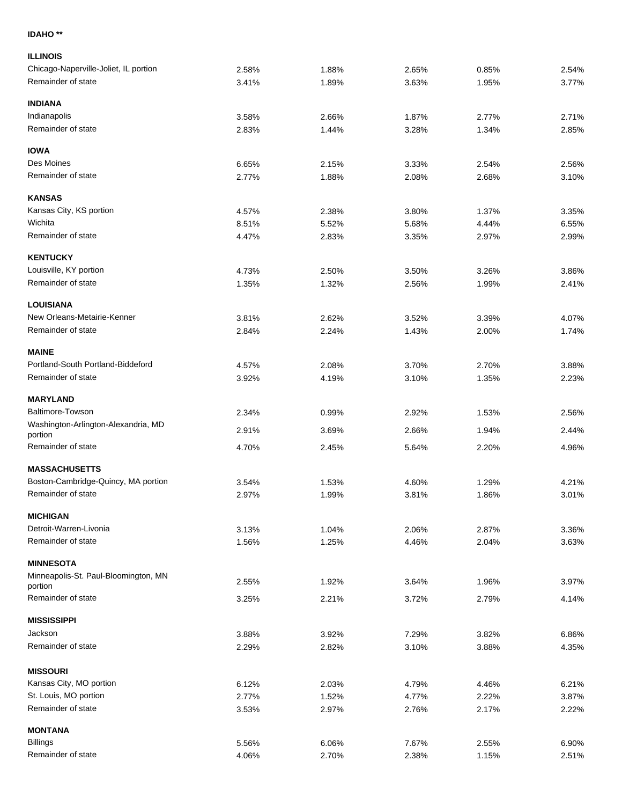## **IDAHO \*\***

| <b>ILLINOIS</b>                                |       |       |       |       |       |
|------------------------------------------------|-------|-------|-------|-------|-------|
| Chicago-Naperville-Joliet, IL portion          | 2.58% | 1.88% | 2.65% | 0.85% | 2.54% |
| Remainder of state                             | 3.41% | 1.89% | 3.63% | 1.95% | 3.77% |
| <b>INDIANA</b>                                 |       |       |       |       |       |
| Indianapolis                                   | 3.58% | 2.66% | 1.87% | 2.77% | 2.71% |
| Remainder of state                             | 2.83% | 1.44% | 3.28% | 1.34% | 2.85% |
| <b>IOWA</b>                                    |       |       |       |       |       |
| Des Moines                                     | 6.65% | 2.15% | 3.33% | 2.54% | 2.56% |
| Remainder of state                             | 2.77% | 1.88% | 2.08% | 2.68% | 3.10% |
| <b>KANSAS</b>                                  |       |       |       |       |       |
| Kansas City, KS portion                        | 4.57% | 2.38% | 3.80% | 1.37% | 3.35% |
| Wichita                                        | 8.51% | 5.52% | 5.68% | 4.44% | 6.55% |
| Remainder of state                             | 4.47% | 2.83% | 3.35% | 2.97% | 2.99% |
| <b>KENTUCKY</b>                                |       |       |       |       |       |
| Louisville, KY portion                         | 4.73% | 2.50% | 3.50% | 3.26% | 3.86% |
| Remainder of state                             | 1.35% | 1.32% | 2.56% | 1.99% | 2.41% |
| <b>LOUISIANA</b>                               |       |       |       |       |       |
| New Orleans-Metairie-Kenner                    | 3.81% | 2.62% | 3.52% | 3.39% | 4.07% |
| Remainder of state                             | 2.84% | 2.24% | 1.43% | 2.00% | 1.74% |
| <b>MAINE</b>                                   |       |       |       |       |       |
| Portland-South Portland-Biddeford              | 4.57% | 2.08% | 3.70% | 2.70% | 3.88% |
| Remainder of state                             | 3.92% | 4.19% | 3.10% | 1.35% | 2.23% |
| <b>MARYLAND</b>                                |       |       |       |       |       |
| Baltimore-Towson                               | 2.34% | 0.99% | 2.92% | 1.53% | 2.56% |
| Washington-Arlington-Alexandria, MD<br>portion | 2.91% | 3.69% | 2.66% | 1.94% | 2.44% |
| Remainder of state                             | 4.70% | 2.45% | 5.64% | 2.20% | 4.96% |
| <b>MASSACHUSETTS</b>                           |       |       |       |       |       |
| Boston-Cambridge-Quincy, MA portion            | 3.54% | 1.53% | 4.60% | 1.29% | 4.21% |
| Remainder of state                             | 2.97% | 1.99% | 3.81% | 1.86% | 3.01% |
| <b>MICHIGAN</b>                                |       |       |       |       |       |
| Detroit-Warren-Livonia                         | 3.13% | 1.04% | 2.06% | 2.87% | 3.36% |
| Remainder of state                             | 1.56% | 1.25% | 4.46% | 2.04% | 3.63% |
| <b>MINNESOTA</b>                               |       |       |       |       |       |
| Minneapolis-St. Paul-Bloomington, MN           |       |       |       |       |       |
| portion                                        | 2.55% | 1.92% | 3.64% | 1.96% | 3.97% |
| Remainder of state                             | 3.25% | 2.21% | 3.72% | 2.79% | 4.14% |
| <b>MISSISSIPPI</b>                             |       |       |       |       |       |
| Jackson                                        | 3.88% | 3.92% | 7.29% | 3.82% | 6.86% |
| Remainder of state                             | 2.29% | 2.82% | 3.10% | 3.88% | 4.35% |
| <b>MISSOURI</b>                                |       |       |       |       |       |
| Kansas City, MO portion                        | 6.12% | 2.03% | 4.79% | 4.46% | 6.21% |
| St. Louis, MO portion                          | 2.77% | 1.52% | 4.77% | 2.22% | 3.87% |
| Remainder of state                             | 3.53% | 2.97% | 2.76% | 2.17% | 2.22% |
| <b>MONTANA</b>                                 |       |       |       |       |       |
| <b>Billings</b>                                | 5.56% | 6.06% | 7.67% | 2.55% | 6.90% |
| Remainder of state                             | 4.06% | 2.70% | 2.38% | 1.15% | 2.51% |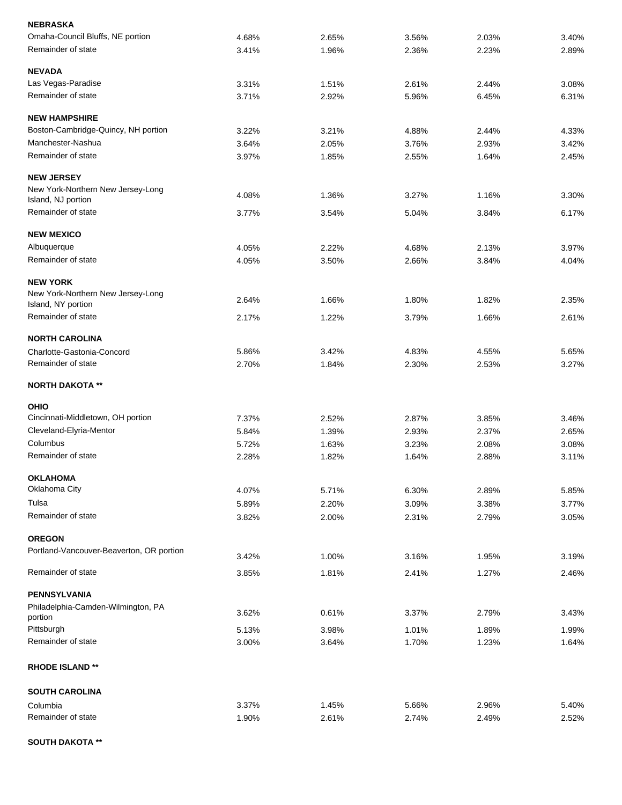| <b>NEBRASKA</b>                               |       |       |       |       |       |
|-----------------------------------------------|-------|-------|-------|-------|-------|
| Omaha-Council Bluffs, NE portion              | 4.68% | 2.65% | 3.56% | 2.03% | 3.40% |
| Remainder of state                            | 3.41% | 1.96% | 2.36% | 2.23% | 2.89% |
| <b>NEVADA</b>                                 |       |       |       |       |       |
| Las Vegas-Paradise                            | 3.31% | 1.51% | 2.61% | 2.44% | 3.08% |
| Remainder of state                            | 3.71% | 2.92% | 5.96% | 6.45% | 6.31% |
| <b>NEW HAMPSHIRE</b>                          |       |       |       |       |       |
| Boston-Cambridge-Quincy, NH portion           | 3.22% | 3.21% | 4.88% | 2.44% | 4.33% |
| Manchester-Nashua                             | 3.64% | 2.05% | 3.76% | 2.93% | 3.42% |
| Remainder of state                            | 3.97% | 1.85% | 2.55% | 1.64% | 2.45% |
| <b>NEW JERSEY</b>                             |       |       |       |       |       |
| New York-Northern New Jersey-Long             | 4.08% | 1.36% | 3.27% | 1.16% | 3.30% |
| Island, NJ portion                            |       |       |       |       |       |
| Remainder of state                            | 3.77% | 3.54% | 5.04% | 3.84% | 6.17% |
| <b>NEW MEXICO</b>                             |       |       |       |       |       |
| Albuquerque                                   | 4.05% | 2.22% | 4.68% | 2.13% | 3.97% |
| Remainder of state                            | 4.05% | 3.50% | 2.66% | 3.84% | 4.04% |
| <b>NEW YORK</b>                               |       |       |       |       |       |
| New York-Northern New Jersey-Long             | 2.64% | 1.66% | 1.80% | 1.82% | 2.35% |
| Island, NY portion                            |       |       |       |       |       |
| Remainder of state                            | 2.17% | 1.22% | 3.79% | 1.66% | 2.61% |
| <b>NORTH CAROLINA</b>                         |       |       |       |       |       |
| Charlotte-Gastonia-Concord                    | 5.86% | 3.42% | 4.83% | 4.55% | 5.65% |
| Remainder of state                            | 2.70% | 1.84% | 2.30% | 2.53% | 3.27% |
| <b>NORTH DAKOTA **</b>                        |       |       |       |       |       |
| <b>OHIO</b>                                   |       |       |       |       |       |
| Cincinnati-Middletown, OH portion             | 7.37% | 2.52% | 2.87% | 3.85% | 3.46% |
| Cleveland-Elyria-Mentor                       | 5.84% | 1.39% | 2.93% | 2.37% | 2.65% |
| Columbus                                      | 5.72% | 1.63% | 3.23% | 2.08% | 3.08% |
| Remainder of state                            | 2.28% | 1.82% | 1.64% | 2.88% | 3.11% |
| <b>OKLAHOMA</b>                               |       |       |       |       |       |
| Oklahoma City                                 | 4.07% | 5.71% | 6.30% | 2.89% | 5.85% |
| Tulsa                                         | 5.89% | 2.20% | 3.09% | 3.38% | 3.77% |
| Remainder of state                            | 3.82% | 2.00% | 2.31% | 2.79% | 3.05% |
| <b>OREGON</b>                                 |       |       |       |       |       |
| Portland-Vancouver-Beaverton, OR portion      | 3.42% | 1.00% | 3.16% | 1.95% | 3.19% |
| Remainder of state                            | 3.85% | 1.81% | 2.41% | 1.27% | 2.46% |
|                                               |       |       |       |       |       |
| <b>PENNSYLVANIA</b>                           |       |       |       |       |       |
| Philadelphia-Camden-Wilmington, PA<br>portion | 3.62% | 0.61% | 3.37% | 2.79% | 3.43% |
| Pittsburgh                                    | 5.13% | 3.98% | 1.01% | 1.89% | 1.99% |
| Remainder of state                            | 3.00% | 3.64% | 1.70% | 1.23% | 1.64% |
| <b>RHODE ISLAND **</b>                        |       |       |       |       |       |
| <b>SOUTH CAROLINA</b>                         |       |       |       |       |       |
| Columbia                                      | 3.37% | 1.45% | 5.66% | 2.96% | 5.40% |
| Remainder of state                            | 1.90% | 2.61% | 2.74% | 2.49% | 2.52% |
|                                               |       |       |       |       |       |

## **SOUTH DAKOTA \*\***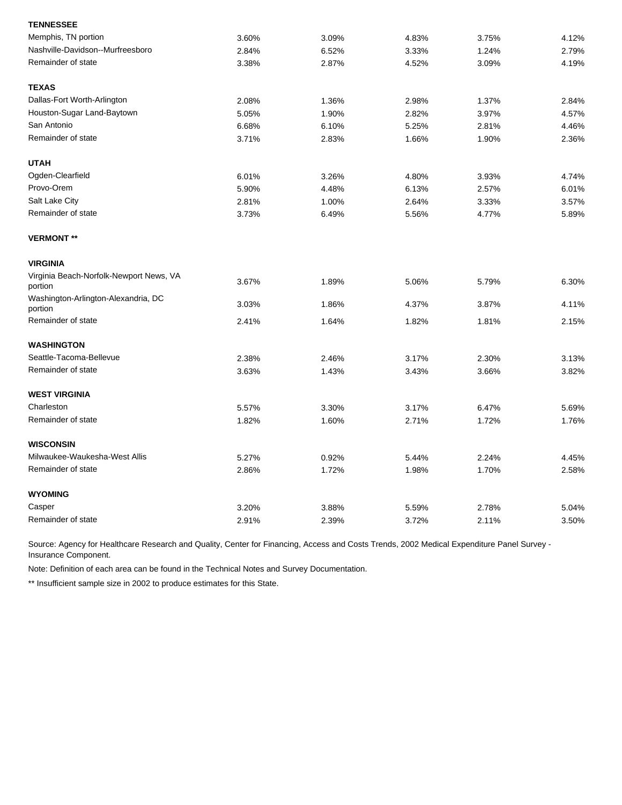| <b>TENNESSEE</b>                                   |       |       |       |       |       |
|----------------------------------------------------|-------|-------|-------|-------|-------|
| Memphis, TN portion                                | 3.60% | 3.09% | 4.83% | 3.75% | 4.12% |
| Nashville-Davidson--Murfreesboro                   | 2.84% | 6.52% | 3.33% | 1.24% | 2.79% |
| Remainder of state                                 | 3.38% | 2.87% | 4.52% | 3.09% | 4.19% |
| <b>TEXAS</b>                                       |       |       |       |       |       |
| Dallas-Fort Worth-Arlington                        | 2.08% | 1.36% | 2.98% | 1.37% | 2.84% |
| Houston-Sugar Land-Baytown                         | 5.05% | 1.90% | 2.82% | 3.97% | 4.57% |
| San Antonio                                        | 6.68% | 6.10% | 5.25% | 2.81% | 4.46% |
| Remainder of state                                 | 3.71% | 2.83% | 1.66% | 1.90% | 2.36% |
| <b>UTAH</b>                                        |       |       |       |       |       |
| Ogden-Clearfield                                   | 6.01% | 3.26% | 4.80% | 3.93% | 4.74% |
| Provo-Orem                                         | 5.90% | 4.48% | 6.13% | 2.57% | 6.01% |
| Salt Lake City                                     | 2.81% | 1.00% | 2.64% | 3.33% | 3.57% |
| Remainder of state                                 | 3.73% | 6.49% | 5.56% | 4.77% | 5.89% |
| <b>VERMONT **</b>                                  |       |       |       |       |       |
| <b>VIRGINIA</b>                                    |       |       |       |       |       |
| Virginia Beach-Norfolk-Newport News, VA<br>portion | 3.67% | 1.89% | 5.06% | 5.79% | 6.30% |
| Washington-Arlington-Alexandria, DC<br>portion     | 3.03% | 1.86% | 4.37% | 3.87% | 4.11% |
| Remainder of state                                 | 2.41% | 1.64% | 1.82% | 1.81% | 2.15% |
| <b>WASHINGTON</b>                                  |       |       |       |       |       |
| Seattle-Tacoma-Bellevue                            | 2.38% | 2.46% | 3.17% | 2.30% | 3.13% |
| Remainder of state                                 | 3.63% | 1.43% | 3.43% | 3.66% | 3.82% |
| <b>WEST VIRGINIA</b>                               |       |       |       |       |       |
| Charleston                                         | 5.57% | 3.30% | 3.17% | 6.47% | 5.69% |
| Remainder of state                                 | 1.82% | 1.60% | 2.71% | 1.72% | 1.76% |
| <b>WISCONSIN</b>                                   |       |       |       |       |       |
| Milwaukee-Waukesha-West Allis                      | 5.27% | 0.92% | 5.44% | 2.24% | 4.45% |
| Remainder of state                                 | 2.86% | 1.72% | 1.98% | 1.70% | 2.58% |
| <b>WYOMING</b>                                     |       |       |       |       |       |
| Casper                                             | 3.20% | 3.88% | 5.59% | 2.78% | 5.04% |
| Remainder of state                                 | 2.91% | 2.39% | 3.72% | 2.11% | 3.50% |

Note: Definition of each area can be found in the Technical Notes and Survey Documentation.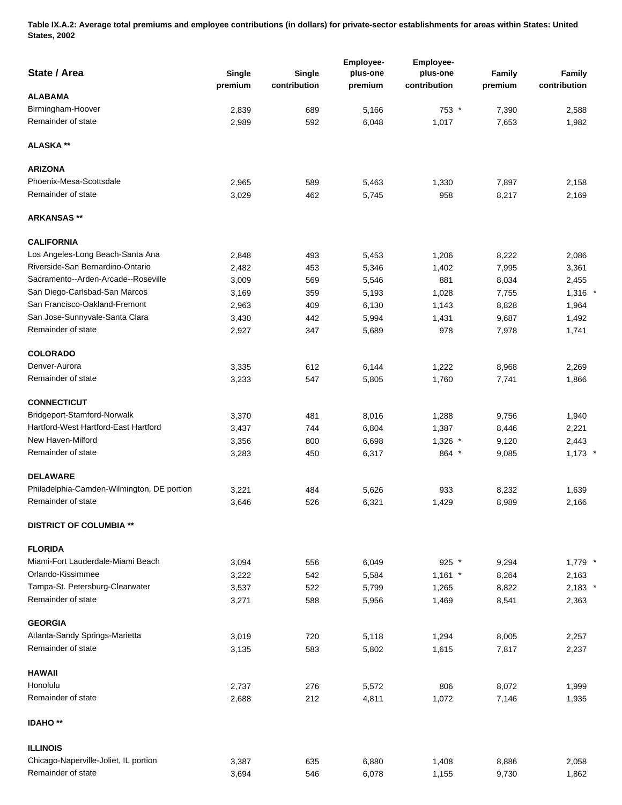**Table IX.A.2: Average total premiums and employee contributions (in dollars) for private-sector establishments for areas within States: United States, 2002** 

| State / Area                               | Single<br>premium | Single<br>contribution | <b>Employee-</b><br>plus-one<br>premium | Employee-<br>plus-one<br>contribution | Family<br>premium | <b>Family</b><br>contribution |
|--------------------------------------------|-------------------|------------------------|-----------------------------------------|---------------------------------------|-------------------|-------------------------------|
| <b>ALABAMA</b>                             |                   |                        |                                         |                                       |                   |                               |
| Birmingham-Hoover                          | 2,839             | 689                    | 5,166                                   | 753 *                                 | 7,390             | 2,588                         |
| Remainder of state                         | 2,989             | 592                    | 6,048                                   | 1,017                                 | 7,653             | 1,982                         |
| <b>ALASKA</b> **                           |                   |                        |                                         |                                       |                   |                               |
| <b>ARIZONA</b>                             |                   |                        |                                         |                                       |                   |                               |
| Phoenix-Mesa-Scottsdale                    | 2,965             | 589                    | 5,463                                   | 1,330                                 | 7,897             | 2,158                         |
| Remainder of state                         | 3,029             | 462                    | 5,745                                   | 958                                   | 8,217             | 2,169                         |
| <b>ARKANSAS</b> **                         |                   |                        |                                         |                                       |                   |                               |
| <b>CALIFORNIA</b>                          |                   |                        |                                         |                                       |                   |                               |
| Los Angeles-Long Beach-Santa Ana           | 2,848             | 493                    | 5,453                                   | 1,206                                 | 8,222             | 2,086                         |
| Riverside-San Bernardino-Ontario           | 2,482             | 453                    | 5,346                                   | 1,402                                 | 7,995             | 3,361                         |
| Sacramento--Arden-Arcade--Roseville        | 3,009             | 569                    | 5,546                                   | 881                                   | 8,034             | 2,455                         |
| San Diego-Carlsbad-San Marcos              | 3,169             | 359                    | 5,193                                   | 1,028                                 | 7,755             | $1,316$ *                     |
| San Francisco-Oakland-Fremont              | 2,963             | 409                    | 6,130                                   | 1,143                                 | 8,828             | 1,964                         |
| San Jose-Sunnyvale-Santa Clara             | 3,430             | 442                    | 5,994                                   | 1,431                                 | 9,687             | 1,492                         |
| Remainder of state                         | 2,927             | 347                    | 5,689                                   | 978                                   | 7,978             | 1,741                         |
| <b>COLORADO</b>                            |                   |                        |                                         |                                       |                   |                               |
| Denver-Aurora                              | 3,335             | 612                    | 6,144                                   | 1,222                                 | 8,968             | 2,269                         |
| Remainder of state                         | 3,233             | 547                    | 5,805                                   | 1,760                                 | 7,741             | 1,866                         |
| <b>CONNECTICUT</b>                         |                   |                        |                                         |                                       |                   |                               |
| Bridgeport-Stamford-Norwalk                | 3,370             | 481                    | 8,016                                   | 1,288                                 | 9,756             | 1,940                         |
| Hartford-West Hartford-East Hartford       | 3,437             | 744                    | 6,804                                   | 1,387                                 | 8,446             | 2,221                         |
| New Haven-Milford                          | 3,356             | 800                    | 6,698                                   | $1,326$ *                             | 9,120             | 2,443                         |
| Remainder of state                         | 3,283             | 450                    | 6,317                                   | 864 *                                 | 9,085             | $1,173$ *                     |
| <b>DELAWARE</b>                            |                   |                        |                                         |                                       |                   |                               |
| Philadelphia-Camden-Wilmington, DE portion | 3,221             | 484                    | 5,626                                   | 933                                   | 8,232             | 1,639                         |
| Remainder of state                         | 3,646             | 526                    | 6,321                                   | 1,429                                 | 8,989             | 2,166                         |
| <b>DISTRICT OF COLUMBIA **</b>             |                   |                        |                                         |                                       |                   |                               |
| <b>FLORIDA</b>                             |                   |                        |                                         |                                       |                   |                               |
| Miami-Fort Lauderdale-Miami Beach          | 3,094             | 556                    | 6,049                                   | $925$ *                               | 9,294             | $1,779$ *                     |
| Orlando-Kissimmee                          | 3,222             | 542                    | 5,584                                   | $1,161$ *                             | 8,264             | 2,163                         |
| Tampa-St. Petersburg-Clearwater            | 3,537             | 522                    | 5,799                                   | 1,265                                 | 8,822             | $2,183$ *                     |
| Remainder of state                         | 3,271             | 588                    | 5,956                                   | 1,469                                 | 8,541             | 2,363                         |
| <b>GEORGIA</b>                             |                   |                        |                                         |                                       |                   |                               |
| Atlanta-Sandy Springs-Marietta             | 3,019             | 720                    | 5,118                                   | 1,294                                 | 8,005             | 2,257                         |
| Remainder of state                         | 3,135             | 583                    | 5,802                                   | 1,615                                 | 7,817             | 2,237                         |
| <b>HAWAII</b>                              |                   |                        |                                         |                                       |                   |                               |
| Honolulu                                   | 2,737             | 276                    | 5,572                                   | 806                                   | 8,072             | 1,999                         |
| Remainder of state                         | 2,688             | 212                    | 4,811                                   | 1,072                                 | 7,146             | 1,935                         |
| <b>IDAHO**</b>                             |                   |                        |                                         |                                       |                   |                               |
| <b>ILLINOIS</b>                            |                   |                        |                                         |                                       |                   |                               |
| Chicago-Naperville-Joliet, IL portion      | 3,387             | 635                    | 6,880                                   | 1,408                                 | 8,886             | 2,058                         |
| Remainder of state                         | 3,694             | 546                    | 6,078                                   | 1,155                                 | 9,730             | 1,862                         |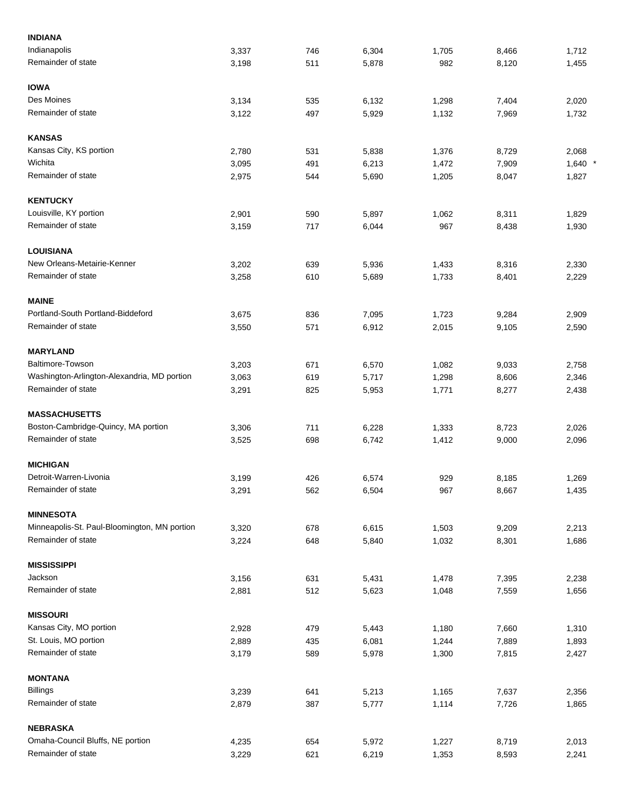| <b>INDIANA</b>                               |       |     |       |       |       |           |
|----------------------------------------------|-------|-----|-------|-------|-------|-----------|
| Indianapolis                                 | 3,337 | 746 | 6,304 | 1,705 | 8,466 | 1,712     |
| Remainder of state                           | 3,198 | 511 | 5,878 | 982   | 8,120 | 1,455     |
| <b>IOWA</b>                                  |       |     |       |       |       |           |
| Des Moines                                   | 3,134 | 535 | 6,132 | 1,298 | 7,404 | 2,020     |
| Remainder of state                           | 3,122 | 497 | 5,929 | 1,132 | 7,969 | 1,732     |
| <b>KANSAS</b>                                |       |     |       |       |       |           |
| Kansas City, KS portion                      | 2,780 | 531 | 5,838 | 1,376 | 8,729 | 2,068     |
| Wichita                                      | 3,095 | 491 | 6,213 | 1,472 | 7,909 | $1,640$ * |
| Remainder of state                           | 2,975 | 544 | 5,690 | 1,205 | 8,047 | 1,827     |
| <b>KENTUCKY</b>                              |       |     |       |       |       |           |
| Louisville, KY portion                       | 2,901 | 590 | 5,897 | 1,062 | 8,311 | 1,829     |
| Remainder of state                           | 3,159 | 717 | 6,044 | 967   | 8,438 | 1,930     |
| <b>LOUISIANA</b>                             |       |     |       |       |       |           |
| New Orleans-Metairie-Kenner                  | 3,202 | 639 | 5,936 | 1,433 | 8,316 | 2,330     |
| Remainder of state                           | 3,258 | 610 | 5,689 | 1,733 | 8,401 | 2,229     |
| <b>MAINE</b>                                 |       |     |       |       |       |           |
| Portland-South Portland-Biddeford            | 3,675 | 836 | 7,095 | 1,723 | 9,284 | 2,909     |
| Remainder of state                           | 3,550 | 571 | 6,912 | 2,015 | 9,105 | 2,590     |
| <b>MARYLAND</b>                              |       |     |       |       |       |           |
| Baltimore-Towson                             | 3,203 | 671 | 6,570 | 1,082 | 9,033 | 2,758     |
| Washington-Arlington-Alexandria, MD portion  | 3,063 | 619 | 5,717 | 1,298 | 8,606 | 2,346     |
| Remainder of state                           | 3,291 | 825 | 5,953 | 1,771 | 8,277 | 2,438     |
| <b>MASSACHUSETTS</b>                         |       |     |       |       |       |           |
| Boston-Cambridge-Quincy, MA portion          | 3,306 | 711 | 6,228 | 1,333 | 8,723 | 2,026     |
| Remainder of state                           | 3,525 | 698 | 6,742 | 1,412 | 9,000 | 2,096     |
| <b>MICHIGAN</b>                              |       |     |       |       |       |           |
| Detroit-Warren-Livonia                       | 3,199 | 426 | 6,574 | 929   | 8,185 | 1,269     |
| Remainder of state                           | 3,291 | 562 | 6,504 | 967   | 8,667 | 1,435     |
| <b>MINNESOTA</b>                             |       |     |       |       |       |           |
| Minneapolis-St. Paul-Bloomington, MN portion | 3,320 | 678 | 6,615 | 1,503 | 9,209 | 2,213     |
| Remainder of state                           | 3,224 | 648 | 5,840 | 1,032 | 8,301 | 1,686     |
| <b>MISSISSIPPI</b>                           |       |     |       |       |       |           |
| Jackson                                      | 3,156 | 631 | 5,431 | 1,478 | 7,395 | 2,238     |
| Remainder of state                           | 2,881 | 512 | 5,623 | 1,048 | 7,559 | 1,656     |
| <b>MISSOURI</b>                              |       |     |       |       |       |           |
| Kansas City, MO portion                      | 2,928 | 479 | 5,443 | 1,180 | 7,660 | 1,310     |
| St. Louis, MO portion                        | 2,889 | 435 | 6,081 | 1,244 | 7,889 | 1,893     |
| Remainder of state                           | 3,179 | 589 | 5,978 | 1,300 | 7,815 | 2,427     |
| <b>MONTANA</b>                               |       |     |       |       |       |           |
| <b>Billings</b>                              | 3,239 | 641 | 5,213 | 1,165 | 7,637 | 2,356     |
| Remainder of state                           | 2,879 | 387 | 5,777 | 1,114 | 7,726 | 1,865     |
| <b>NEBRASKA</b>                              |       |     |       |       |       |           |
| Omaha-Council Bluffs, NE portion             | 4,235 | 654 | 5,972 | 1,227 | 8,719 | 2,013     |
| Remainder of state                           | 3,229 | 621 | 6,219 | 1,353 | 8,593 | 2,241     |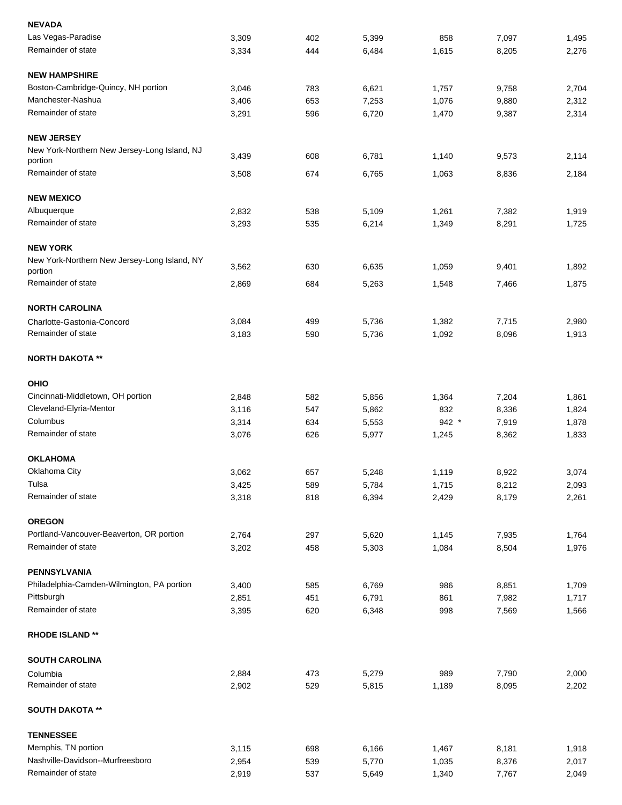| <b>NEVADA</b>                                           |       |     |       |         |       |       |
|---------------------------------------------------------|-------|-----|-------|---------|-------|-------|
| Las Vegas-Paradise                                      | 3,309 | 402 | 5,399 | 858     | 7,097 | 1,495 |
| Remainder of state                                      | 3,334 | 444 | 6,484 | 1,615   | 8,205 | 2,276 |
| <b>NEW HAMPSHIRE</b>                                    |       |     |       |         |       |       |
| Boston-Cambridge-Quincy, NH portion                     | 3,046 | 783 | 6,621 | 1,757   | 9,758 | 2,704 |
| Manchester-Nashua                                       | 3,406 | 653 | 7,253 | 1,076   | 9,880 | 2,312 |
| Remainder of state                                      | 3,291 | 596 | 6,720 | 1,470   | 9,387 | 2,314 |
| <b>NEW JERSEY</b>                                       |       |     |       |         |       |       |
| New York-Northern New Jersey-Long Island, NJ<br>portion | 3,439 | 608 | 6,781 | 1,140   | 9,573 | 2,114 |
| Remainder of state                                      | 3,508 | 674 | 6,765 | 1,063   | 8,836 | 2,184 |
| <b>NEW MEXICO</b>                                       |       |     |       |         |       |       |
| Albuquerque                                             | 2,832 | 538 | 5,109 | 1,261   | 7,382 | 1,919 |
| Remainder of state                                      | 3,293 | 535 | 6,214 | 1,349   | 8,291 | 1,725 |
| <b>NEW YORK</b>                                         |       |     |       |         |       |       |
| New York-Northern New Jersey-Long Island, NY            |       |     |       |         |       |       |
| portion                                                 | 3,562 | 630 | 6,635 | 1,059   | 9,401 | 1,892 |
| Remainder of state                                      | 2,869 | 684 | 5,263 | 1,548   | 7,466 | 1,875 |
| <b>NORTH CAROLINA</b>                                   |       |     |       |         |       |       |
| Charlotte-Gastonia-Concord                              | 3,084 | 499 | 5,736 | 1,382   | 7,715 | 2,980 |
| Remainder of state                                      | 3,183 | 590 | 5,736 | 1,092   | 8,096 | 1,913 |
| <b>NORTH DAKOTA **</b>                                  |       |     |       |         |       |       |
| <b>OHIO</b>                                             |       |     |       |         |       |       |
| Cincinnati-Middletown, OH portion                       | 2,848 | 582 | 5,856 | 1,364   | 7,204 | 1,861 |
| Cleveland-Elyria-Mentor                                 | 3,116 | 547 | 5,862 | 832     | 8,336 | 1,824 |
| Columbus                                                | 3,314 | 634 | 5,553 | $942 *$ | 7,919 | 1,878 |
| Remainder of state                                      | 3,076 | 626 | 5,977 | 1,245   | 8,362 | 1,833 |
| <b>OKLAHOMA</b>                                         |       |     |       |         |       |       |
| Oklahoma City                                           | 3,062 | 657 | 5,248 | 1,119   | 8,922 | 3,074 |
| Tulsa                                                   | 3,425 | 589 | 5,784 | 1,715   | 8,212 | 2,093 |
| Remainder of state                                      | 3,318 | 818 | 6,394 | 2,429   | 8,179 | 2,261 |
| <b>OREGON</b>                                           |       |     |       |         |       |       |
| Portland-Vancouver-Beaverton, OR portion                | 2,764 | 297 | 5,620 | 1,145   | 7,935 | 1,764 |
| Remainder of state                                      | 3,202 | 458 | 5,303 | 1,084   | 8,504 | 1,976 |
| <b>PENNSYLVANIA</b>                                     |       |     |       |         |       |       |
| Philadelphia-Camden-Wilmington, PA portion              | 3,400 | 585 | 6,769 | 986     | 8,851 | 1,709 |
| Pittsburgh                                              | 2,851 | 451 | 6,791 | 861     | 7,982 | 1,717 |
| Remainder of state                                      | 3,395 | 620 | 6,348 | 998     | 7,569 | 1,566 |
| <b>RHODE ISLAND **</b>                                  |       |     |       |         |       |       |
| <b>SOUTH CAROLINA</b>                                   |       |     |       |         |       |       |
| Columbia                                                | 2,884 | 473 | 5,279 | 989     | 7,790 | 2,000 |
| Remainder of state                                      | 2,902 | 529 | 5,815 | 1,189   | 8,095 | 2,202 |
| <b>SOUTH DAKOTA **</b>                                  |       |     |       |         |       |       |
| <b>TENNESSEE</b>                                        |       |     |       |         |       |       |
| Memphis, TN portion                                     | 3,115 | 698 | 6,166 | 1,467   | 8,181 | 1,918 |
| Nashville-Davidson--Murfreesboro                        | 2,954 | 539 | 5,770 | 1,035   | 8,376 | 2,017 |
| Remainder of state                                      | 2,919 | 537 | 5,649 | 1,340   | 7,767 | 2,049 |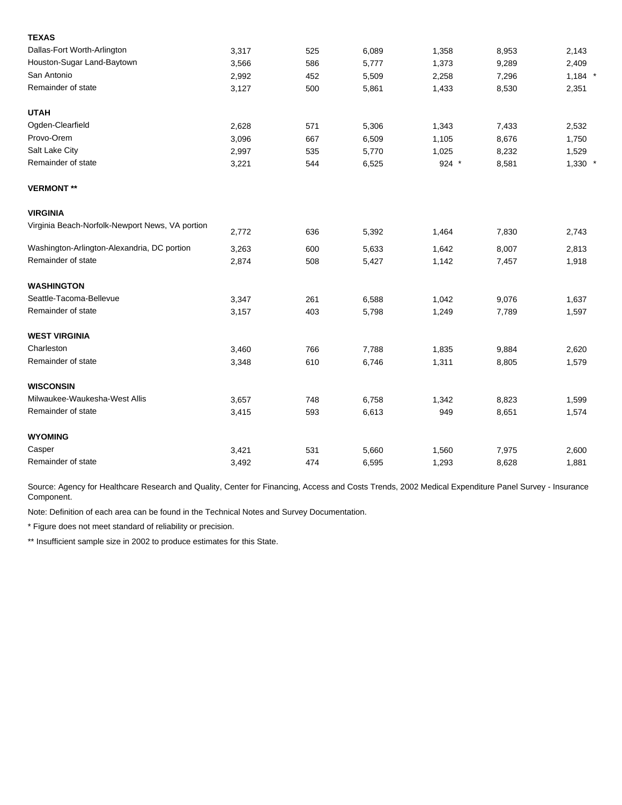| <b>TEXAS</b>                                    |       |     |       |       |       |           |
|-------------------------------------------------|-------|-----|-------|-------|-------|-----------|
| Dallas-Fort Worth-Arlington                     | 3,317 | 525 | 6,089 | 1,358 | 8,953 | 2,143     |
| Houston-Sugar Land-Baytown                      | 3,566 | 586 | 5,777 | 1,373 | 9,289 | 2,409     |
| San Antonio                                     | 2,992 | 452 | 5,509 | 2,258 | 7,296 | $1,184$ * |
| Remainder of state                              | 3,127 | 500 | 5,861 | 1,433 | 8,530 | 2,351     |
| <b>UTAH</b>                                     |       |     |       |       |       |           |
| Ogden-Clearfield                                | 2,628 | 571 | 5,306 | 1,343 | 7,433 | 2,532     |
| Provo-Orem                                      | 3,096 | 667 | 6,509 | 1,105 | 8,676 | 1,750     |
| Salt Lake City                                  | 2,997 | 535 | 5,770 | 1,025 | 8,232 | 1,529     |
| Remainder of state                              | 3,221 | 544 | 6,525 | 924 * | 8,581 | $1,330$ * |
| <b>VERMONT**</b>                                |       |     |       |       |       |           |
| <b>VIRGINIA</b>                                 |       |     |       |       |       |           |
| Virginia Beach-Norfolk-Newport News, VA portion | 2,772 | 636 | 5,392 | 1,464 | 7,830 | 2,743     |
| Washington-Arlington-Alexandria, DC portion     | 3,263 | 600 | 5,633 | 1,642 | 8,007 | 2,813     |
| Remainder of state                              | 2,874 | 508 | 5,427 | 1,142 | 7,457 | 1,918     |
| <b>WASHINGTON</b>                               |       |     |       |       |       |           |
| Seattle-Tacoma-Bellevue                         | 3,347 | 261 | 6,588 | 1,042 | 9,076 | 1,637     |
| Remainder of state                              | 3,157 | 403 | 5,798 | 1,249 | 7,789 | 1,597     |
| <b>WEST VIRGINIA</b>                            |       |     |       |       |       |           |
| Charleston                                      | 3,460 | 766 | 7,788 | 1,835 | 9,884 | 2,620     |
| Remainder of state                              | 3,348 | 610 | 6,746 | 1,311 | 8,805 | 1,579     |
| <b>WISCONSIN</b>                                |       |     |       |       |       |           |
| Milwaukee-Waukesha-West Allis                   | 3,657 | 748 | 6,758 | 1,342 | 8,823 | 1,599     |
| Remainder of state                              | 3,415 | 593 | 6,613 | 949   | 8,651 | 1,574     |
| <b>WYOMING</b>                                  |       |     |       |       |       |           |
| Casper                                          | 3,421 | 531 | 5,660 | 1,560 | 7,975 | 2,600     |
| Remainder of state                              | 3,492 | 474 | 6,595 | 1,293 | 8,628 | 1,881     |

Note: Definition of each area can be found in the Technical Notes and Survey Documentation.

\* Figure does not meet standard of reliability or precision.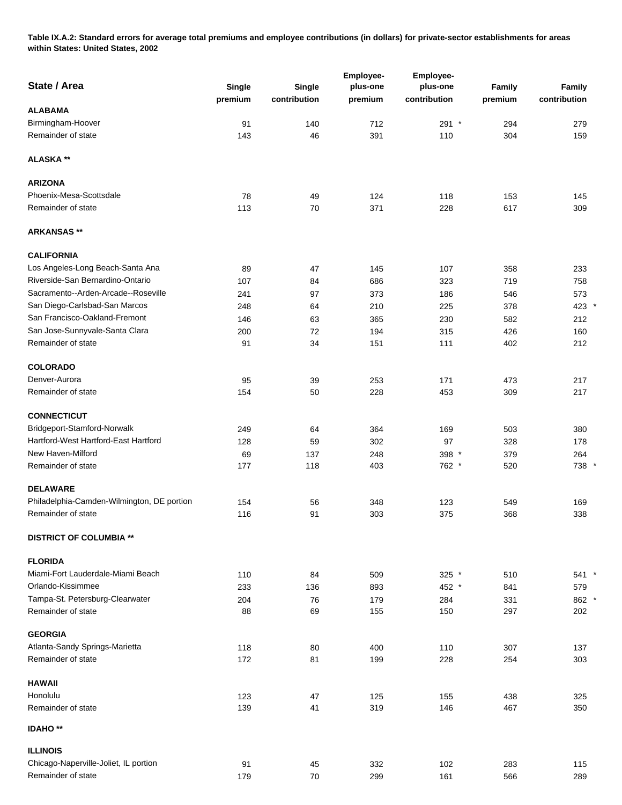**Table IX.A.2: Standard errors for average total premiums and employee contributions (in dollars) for private-sector establishments for areas within States: United States, 2002** 

| State / Area                               | Single<br>premium | <b>Single</b><br>contribution | Employee-<br>plus-one<br>premium | Employee-<br>plus-one<br>contribution | Family<br>premium | Family<br>contribution |
|--------------------------------------------|-------------------|-------------------------------|----------------------------------|---------------------------------------|-------------------|------------------------|
| <b>ALABAMA</b>                             |                   |                               |                                  |                                       |                   |                        |
| Birmingham-Hoover                          | 91                | 140                           | 712                              | 291 *                                 | 294               | 279                    |
| Remainder of state                         | 143               | 46                            | 391                              | 110                                   | 304               | 159                    |
| <b>ALASKA**</b>                            |                   |                               |                                  |                                       |                   |                        |
| <b>ARIZONA</b>                             |                   |                               |                                  |                                       |                   |                        |
| Phoenix-Mesa-Scottsdale                    | 78                | 49                            | 124                              | 118                                   | 153               | 145                    |
| Remainder of state                         | 113               | 70                            | 371                              | 228                                   | 617               | 309                    |
| <b>ARKANSAS **</b>                         |                   |                               |                                  |                                       |                   |                        |
| <b>CALIFORNIA</b>                          |                   |                               |                                  |                                       |                   |                        |
| Los Angeles-Long Beach-Santa Ana           | 89                | 47                            | 145                              | 107                                   | 358               | 233                    |
| Riverside-San Bernardino-Ontario           | 107               | 84                            | 686                              | 323                                   | 719               | 758                    |
| Sacramento--Arden-Arcade--Roseville        | 241               | 97                            | 373                              | 186                                   | 546               | 573                    |
| San Diego-Carlsbad-San Marcos              | 248               | 64                            | 210                              | 225                                   | 378               | 423 *                  |
| San Francisco-Oakland-Fremont              | 146               | 63                            | 365                              | 230                                   | 582               | 212                    |
| San Jose-Sunnyvale-Santa Clara             | 200               | 72                            | 194                              | 315                                   | 426               | 160                    |
| Remainder of state                         | 91                | 34                            | 151                              | 111                                   | 402               | 212                    |
| <b>COLORADO</b>                            |                   |                               |                                  |                                       |                   |                        |
| Denver-Aurora                              | 95                | 39                            | 253                              | 171                                   | 473               | 217                    |
| Remainder of state                         | 154               | 50                            | 228                              | 453                                   | 309               | 217                    |
| <b>CONNECTICUT</b>                         |                   |                               |                                  |                                       |                   |                        |
| Bridgeport-Stamford-Norwalk                | 249               | 64                            | 364                              | 169                                   | 503               | 380                    |
| Hartford-West Hartford-East Hartford       | 128               | 59                            | 302                              | 97                                    | 328               | 178                    |
| New Haven-Milford                          | 69                | 137                           | 248                              | 398 *                                 | 379               | 264                    |
| Remainder of state                         | 177               | 118                           | 403                              | 762 *                                 | 520               | 738 *                  |
| <b>DELAWARE</b>                            |                   |                               |                                  |                                       |                   |                        |
| Philadelphia-Camden-Wilmington, DE portion | 154               | 56                            | 348                              | 123                                   | 549               | 169                    |
| Remainder of state                         | 116               | 91                            | 303                              | 375                                   | 368               | 338                    |
| <b>DISTRICT OF COLUMBIA **</b>             |                   |                               |                                  |                                       |                   |                        |
| <b>FLORIDA</b>                             |                   |                               |                                  |                                       |                   |                        |
| Miami-Fort Lauderdale-Miami Beach          | 110               | 84                            | 509                              | 325 $*$                               | 510               | 541 *                  |
| Orlando-Kissimmee                          | 233               | 136                           | 893                              | 452 *                                 | 841               | 579                    |
| Tampa-St. Petersburg-Clearwater            | 204               | 76                            | 179                              | 284                                   | 331               | 862 *                  |
| Remainder of state                         | 88                | 69                            | 155                              | 150                                   | 297               | 202                    |
| <b>GEORGIA</b>                             |                   |                               |                                  |                                       |                   |                        |
| Atlanta-Sandy Springs-Marietta             | 118               | 80                            | 400                              | 110                                   | 307               | 137                    |
| Remainder of state                         | 172               | 81                            | 199                              | 228                                   | 254               | 303                    |
| <b>HAWAII</b>                              |                   |                               |                                  |                                       |                   |                        |
| Honolulu                                   | 123               | 47                            | 125                              | 155                                   | 438               | 325                    |
| Remainder of state                         | 139               | 41                            | 319                              | 146                                   | 467               | 350                    |
| <b>IDAHO**</b>                             |                   |                               |                                  |                                       |                   |                        |
| <b>ILLINOIS</b>                            |                   |                               |                                  |                                       |                   |                        |
| Chicago-Naperville-Joliet, IL portion      | 91                | 45                            | 332                              | 102                                   | 283               | 115                    |
| Remainder of state                         | 179               | $70\,$                        | 299                              | 161                                   | 566               | 289                    |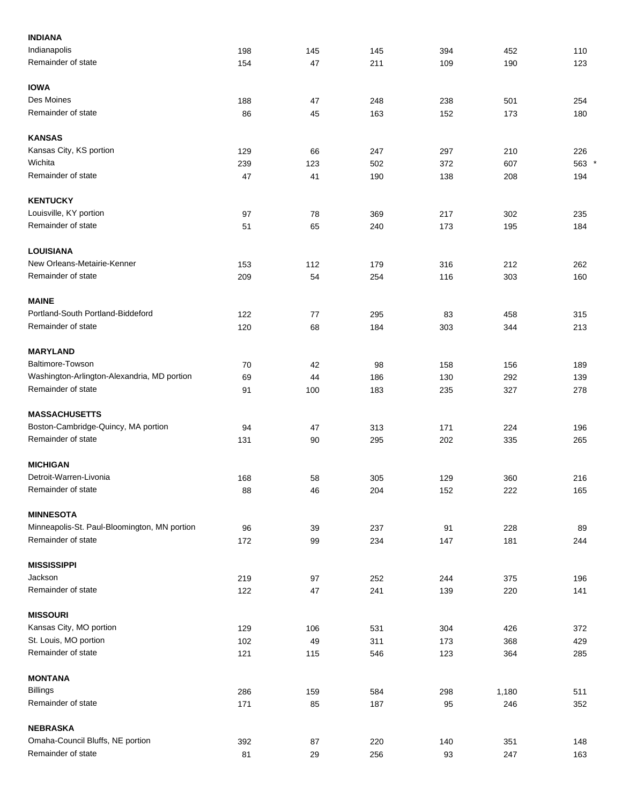| <b>INDIANA</b>                               |     |     |     |     |       |       |
|----------------------------------------------|-----|-----|-----|-----|-------|-------|
| Indianapolis                                 | 198 | 145 | 145 | 394 | 452   | 110   |
| Remainder of state                           | 154 | 47  | 211 | 109 | 190   | 123   |
| <b>IOWA</b>                                  |     |     |     |     |       |       |
| Des Moines                                   | 188 | 47  | 248 | 238 | 501   | 254   |
| Remainder of state                           | 86  | 45  | 163 | 152 | 173   | 180   |
| <b>KANSAS</b>                                |     |     |     |     |       |       |
| Kansas City, KS portion                      | 129 | 66  | 247 | 297 | 210   | 226   |
| Wichita                                      | 239 | 123 | 502 | 372 | 607   | 563 * |
| Remainder of state                           | 47  | 41  | 190 | 138 | 208   | 194   |
| <b>KENTUCKY</b>                              |     |     |     |     |       |       |
| Louisville, KY portion                       | 97  | 78  | 369 | 217 | 302   | 235   |
| Remainder of state                           | 51  | 65  | 240 | 173 | 195   | 184   |
| <b>LOUISIANA</b>                             |     |     |     |     |       |       |
| New Orleans-Metairie-Kenner                  | 153 | 112 | 179 | 316 | 212   | 262   |
| Remainder of state                           | 209 | 54  | 254 | 116 | 303   | 160   |
| <b>MAINE</b>                                 |     |     |     |     |       |       |
| Portland-South Portland-Biddeford            | 122 | 77  | 295 | 83  | 458   | 315   |
| Remainder of state                           | 120 | 68  | 184 | 303 | 344   | 213   |
| <b>MARYLAND</b>                              |     |     |     |     |       |       |
| Baltimore-Towson                             | 70  | 42  | 98  | 158 | 156   | 189   |
| Washington-Arlington-Alexandria, MD portion  | 69  | 44  | 186 | 130 | 292   | 139   |
| Remainder of state                           | 91  | 100 | 183 | 235 | 327   | 278   |
| <b>MASSACHUSETTS</b>                         |     |     |     |     |       |       |
| Boston-Cambridge-Quincy, MA portion          | 94  | 47  | 313 | 171 | 224   | 196   |
| Remainder of state                           | 131 | 90  | 295 | 202 | 335   | 265   |
| <b>MICHIGAN</b>                              |     |     |     |     |       |       |
| Detroit-Warren-Livonia                       | 168 | 58  | 305 | 129 | 360   | 216   |
| Remainder of state                           | 88  | 46  | 204 | 152 | 222   | 165   |
| <b>MINNESOTA</b>                             |     |     |     |     |       |       |
| Minneapolis-St. Paul-Bloomington, MN portion | 96  | 39  | 237 | 91  | 228   | 89    |
| Remainder of state                           | 172 | 99  | 234 | 147 | 181   | 244   |
| <b>MISSISSIPPI</b>                           |     |     |     |     |       |       |
| Jackson                                      | 219 | 97  | 252 | 244 | 375   | 196   |
| Remainder of state                           | 122 | 47  | 241 | 139 | 220   | 141   |
| <b>MISSOURI</b>                              |     |     |     |     |       |       |
| Kansas City, MO portion                      | 129 | 106 | 531 | 304 | 426   | 372   |
| St. Louis, MO portion                        | 102 | 49  | 311 | 173 | 368   | 429   |
| Remainder of state                           | 121 | 115 | 546 | 123 | 364   | 285   |
| <b>MONTANA</b>                               |     |     |     |     |       |       |
| <b>Billings</b>                              | 286 | 159 | 584 | 298 | 1,180 | 511   |
| Remainder of state                           | 171 | 85  | 187 | 95  | 246   | 352   |
| <b>NEBRASKA</b>                              |     |     |     |     |       |       |
| Omaha-Council Bluffs, NE portion             | 392 | 87  | 220 | 140 | 351   | 148   |
| Remainder of state                           | 81  | 29  | 256 | 93  | 247   | 163   |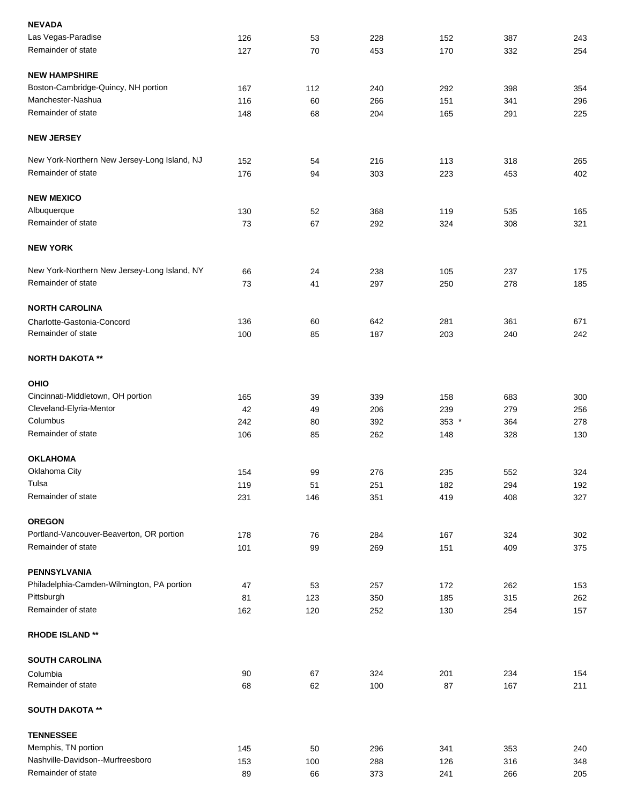| <b>NEVADA</b>                                |     |     |     |       |     |     |
|----------------------------------------------|-----|-----|-----|-------|-----|-----|
| Las Vegas-Paradise                           | 126 | 53  | 228 | 152   | 387 | 243 |
| Remainder of state                           | 127 | 70  | 453 | 170   | 332 | 254 |
| <b>NEW HAMPSHIRE</b>                         |     |     |     |       |     |     |
| Boston-Cambridge-Quincy, NH portion          | 167 | 112 | 240 | 292   | 398 | 354 |
| Manchester-Nashua                            | 116 | 60  | 266 | 151   | 341 | 296 |
| Remainder of state                           | 148 | 68  | 204 | 165   | 291 | 225 |
| <b>NEW JERSEY</b>                            |     |     |     |       |     |     |
| New York-Northern New Jersey-Long Island, NJ | 152 | 54  | 216 | 113   | 318 | 265 |
| Remainder of state                           | 176 | 94  | 303 | 223   | 453 | 402 |
| <b>NEW MEXICO</b>                            |     |     |     |       |     |     |
| Albuquerque                                  | 130 | 52  | 368 | 119   | 535 | 165 |
| Remainder of state                           | 73  | 67  | 292 | 324   | 308 | 321 |
| <b>NEW YORK</b>                              |     |     |     |       |     |     |
| New York-Northern New Jersey-Long Island, NY | 66  | 24  | 238 | 105   | 237 | 175 |
| Remainder of state                           | 73  | 41  | 297 | 250   | 278 | 185 |
| <b>NORTH CAROLINA</b>                        |     |     |     |       |     |     |
| Charlotte-Gastonia-Concord                   | 136 | 60  | 642 | 281   | 361 | 671 |
| Remainder of state                           | 100 | 85  | 187 | 203   | 240 | 242 |
| <b>NORTH DAKOTA **</b>                       |     |     |     |       |     |     |
| <b>OHIO</b>                                  |     |     |     |       |     |     |
| Cincinnati-Middletown, OH portion            | 165 | 39  | 339 | 158   | 683 | 300 |
| Cleveland-Elyria-Mentor                      | 42  | 49  | 206 | 239   | 279 | 256 |
| Columbus                                     | 242 | 80  | 392 | 353 * | 364 | 278 |
| Remainder of state                           | 106 | 85  | 262 | 148   | 328 | 130 |
| <b>OKLAHOMA</b>                              |     |     |     |       |     |     |
| Oklahoma City                                | 154 | 99  | 276 | 235   | 552 | 324 |
| Tulsa                                        | 119 | 51  | 251 | 182   | 294 | 192 |
| Remainder of state                           | 231 | 146 | 351 | 419   | 408 | 327 |
| <b>OREGON</b>                                |     |     |     |       |     |     |
| Portland-Vancouver-Beaverton, OR portion     | 178 | 76  | 284 | 167   | 324 | 302 |
| Remainder of state                           | 101 | 99  | 269 | 151   | 409 | 375 |
| <b>PENNSYLVANIA</b>                          |     |     |     |       |     |     |
| Philadelphia-Camden-Wilmington, PA portion   | 47  | 53  | 257 | 172   | 262 | 153 |
| Pittsburgh                                   | 81  | 123 | 350 | 185   | 315 | 262 |
| Remainder of state                           | 162 | 120 | 252 | 130   | 254 | 157 |
| <b>RHODE ISLAND**</b>                        |     |     |     |       |     |     |
| <b>SOUTH CAROLINA</b>                        |     |     |     |       |     |     |
| Columbia                                     | 90  | 67  | 324 | 201   | 234 | 154 |
| Remainder of state                           | 68  | 62  | 100 | 87    | 167 | 211 |
| <b>SOUTH DAKOTA **</b>                       |     |     |     |       |     |     |
| <b>TENNESSEE</b>                             |     |     |     |       |     |     |
| Memphis, TN portion                          | 145 | 50  | 296 | 341   | 353 | 240 |
| Nashville-Davidson--Murfreesboro             | 153 | 100 | 288 | 126   | 316 | 348 |
| Remainder of state                           | 89  | 66  | 373 | 241   | 266 | 205 |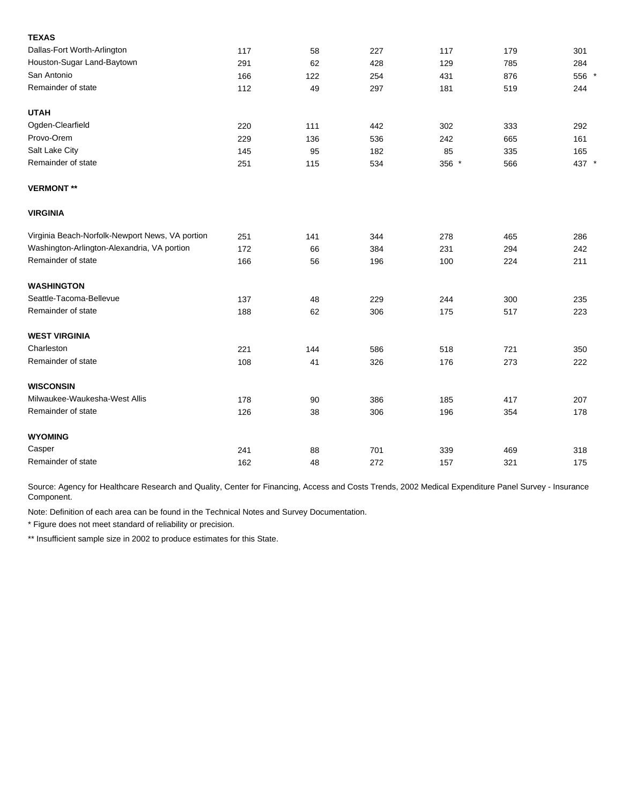| <b>TEXAS</b>                                    |     |     |     |       |     |       |
|-------------------------------------------------|-----|-----|-----|-------|-----|-------|
| Dallas-Fort Worth-Arlington                     | 117 | 58  | 227 | 117   | 179 | 301   |
| Houston-Sugar Land-Baytown                      | 291 | 62  | 428 | 129   | 785 | 284   |
| San Antonio                                     | 166 | 122 | 254 | 431   | 876 | 556 * |
| Remainder of state                              | 112 | 49  | 297 | 181   | 519 | 244   |
| <b>UTAH</b>                                     |     |     |     |       |     |       |
| Ogden-Clearfield                                | 220 | 111 | 442 | 302   | 333 | 292   |
| Provo-Orem                                      | 229 | 136 | 536 | 242   | 665 | 161   |
| Salt Lake City                                  | 145 | 95  | 182 | 85    | 335 | 165   |
| Remainder of state                              | 251 | 115 | 534 | 356 * | 566 | 437 * |
| <b>VERMONT**</b>                                |     |     |     |       |     |       |
| <b>VIRGINIA</b>                                 |     |     |     |       |     |       |
| Virginia Beach-Norfolk-Newport News, VA portion | 251 | 141 | 344 | 278   | 465 | 286   |
| Washington-Arlington-Alexandria, VA portion     | 172 | 66  | 384 | 231   | 294 | 242   |
| Remainder of state                              | 166 | 56  | 196 | 100   | 224 | 211   |
| <b>WASHINGTON</b>                               |     |     |     |       |     |       |
| Seattle-Tacoma-Bellevue                         | 137 | 48  | 229 | 244   | 300 | 235   |
| Remainder of state                              | 188 | 62  | 306 | 175   | 517 | 223   |
| <b>WEST VIRGINIA</b>                            |     |     |     |       |     |       |
| Charleston                                      | 221 | 144 | 586 | 518   | 721 | 350   |
| Remainder of state                              | 108 | 41  | 326 | 176   | 273 | 222   |
| <b>WISCONSIN</b>                                |     |     |     |       |     |       |
| Milwaukee-Waukesha-West Allis                   | 178 | 90  | 386 | 185   | 417 | 207   |
| Remainder of state                              | 126 | 38  | 306 | 196   | 354 | 178   |
| <b>WYOMING</b>                                  |     |     |     |       |     |       |
| Casper                                          | 241 | 88  | 701 | 339   | 469 | 318   |
| Remainder of state                              | 162 | 48  | 272 | 157   | 321 | 175   |

Note: Definition of each area can be found in the Technical Notes and Survey Documentation.

\* Figure does not meet standard of reliability or precision.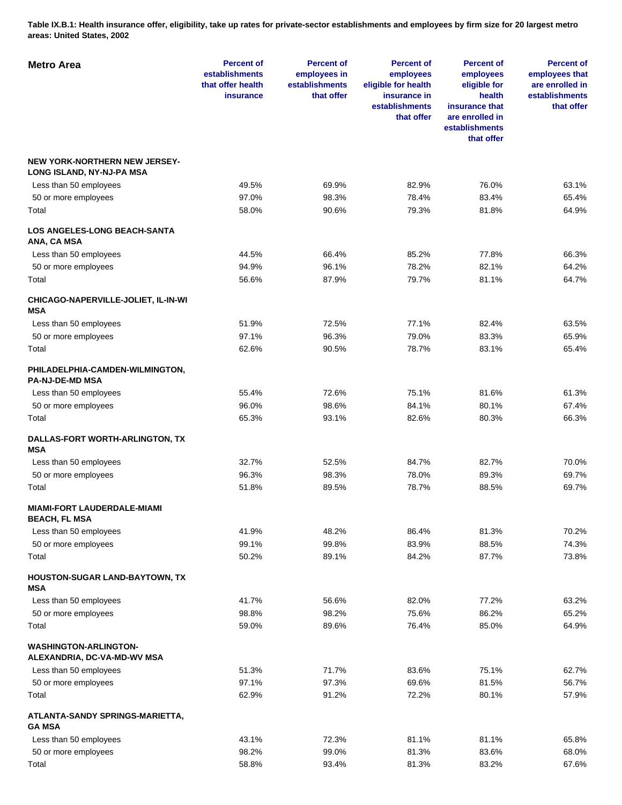**Table IX.B.1: Health insurance offer, eligibility, take up rates for private-sector establishments and employees by firm size for 20 largest metro areas: United States, 2002** 

| <b>Metro Area</b>                                                 | <b>Percent of</b><br>establishments<br>that offer health<br><b>insurance</b> | <b>Percent of</b><br>employees in<br>establishments<br>that offer | <b>Percent of</b><br>employees<br>eligible for health<br>insurance in<br>establishments<br>that offer | <b>Percent of</b><br>employees<br>eligible for<br>health<br>insurance that<br>are enrolled in<br>establishments<br>that offer | <b>Percent of</b><br>employees that<br>are enrolled in<br>establishments<br>that offer |
|-------------------------------------------------------------------|------------------------------------------------------------------------------|-------------------------------------------------------------------|-------------------------------------------------------------------------------------------------------|-------------------------------------------------------------------------------------------------------------------------------|----------------------------------------------------------------------------------------|
| <b>NEW YORK-NORTHERN NEW JERSEY-</b><br>LONG ISLAND, NY-NJ-PA MSA |                                                                              |                                                                   |                                                                                                       |                                                                                                                               |                                                                                        |
| Less than 50 employees                                            | 49.5%                                                                        | 69.9%                                                             | 82.9%                                                                                                 | 76.0%                                                                                                                         | 63.1%                                                                                  |
| 50 or more employees                                              | 97.0%                                                                        | 98.3%                                                             | 78.4%                                                                                                 | 83.4%                                                                                                                         | 65.4%                                                                                  |
| Total                                                             | 58.0%                                                                        | 90.6%                                                             | 79.3%                                                                                                 | 81.8%                                                                                                                         | 64.9%                                                                                  |
| <b>LOS ANGELES-LONG BEACH-SANTA</b><br>ANA, CA MSA                |                                                                              |                                                                   |                                                                                                       |                                                                                                                               |                                                                                        |
| Less than 50 employees                                            | 44.5%                                                                        | 66.4%                                                             | 85.2%                                                                                                 | 77.8%                                                                                                                         | 66.3%                                                                                  |
| 50 or more employees                                              | 94.9%                                                                        | 96.1%                                                             | 78.2%                                                                                                 | 82.1%                                                                                                                         | 64.2%                                                                                  |
| Total                                                             | 56.6%                                                                        | 87.9%                                                             | 79.7%                                                                                                 | 81.1%                                                                                                                         | 64.7%                                                                                  |
| CHICAGO-NAPERVILLE-JOLIET, IL-IN-WI<br><b>MSA</b>                 |                                                                              |                                                                   |                                                                                                       |                                                                                                                               |                                                                                        |
| Less than 50 employees                                            | 51.9%                                                                        | 72.5%                                                             | 77.1%                                                                                                 | 82.4%                                                                                                                         | 63.5%                                                                                  |
| 50 or more employees                                              | 97.1%                                                                        | 96.3%                                                             | 79.0%                                                                                                 | 83.3%                                                                                                                         | 65.9%                                                                                  |
| Total                                                             | 62.6%                                                                        | 90.5%                                                             | 78.7%                                                                                                 | 83.1%                                                                                                                         | 65.4%                                                                                  |
| PHILADELPHIA-CAMDEN-WILMINGTON,<br><b>PA-NJ-DE-MD MSA</b>         |                                                                              |                                                                   |                                                                                                       |                                                                                                                               |                                                                                        |
| Less than 50 employees                                            | 55.4%                                                                        | 72.6%                                                             | 75.1%                                                                                                 | 81.6%                                                                                                                         | 61.3%                                                                                  |
| 50 or more employees                                              | 96.0%                                                                        | 98.6%                                                             | 84.1%                                                                                                 | 80.1%                                                                                                                         | 67.4%                                                                                  |
| Total                                                             | 65.3%                                                                        | 93.1%                                                             | 82.6%                                                                                                 | 80.3%                                                                                                                         | 66.3%                                                                                  |
| DALLAS-FORT WORTH-ARLINGTON, TX<br><b>MSA</b>                     |                                                                              |                                                                   |                                                                                                       |                                                                                                                               |                                                                                        |
| Less than 50 employees                                            | 32.7%                                                                        | 52.5%                                                             | 84.7%                                                                                                 | 82.7%                                                                                                                         | 70.0%                                                                                  |
| 50 or more employees                                              | 96.3%                                                                        | 98.3%                                                             | 78.0%                                                                                                 | 89.3%                                                                                                                         | 69.7%                                                                                  |
| Total                                                             | 51.8%                                                                        | 89.5%                                                             | 78.7%                                                                                                 | 88.5%                                                                                                                         | 69.7%                                                                                  |
| <b>MIAMI-FORT LAUDERDALE-MIAMI</b><br><b>BEACH, FL MSA</b>        |                                                                              |                                                                   |                                                                                                       |                                                                                                                               |                                                                                        |
| Less than 50 employees                                            | 41.9%                                                                        | 48.2%                                                             | 86.4%                                                                                                 | 81.3%                                                                                                                         | 70.2%                                                                                  |
| 50 or more employees                                              | 99.1%                                                                        | 99.8%                                                             | 83.9%                                                                                                 | 88.5%                                                                                                                         | 74.3%                                                                                  |
| Total                                                             | 50.2%                                                                        | 89.1%                                                             | 84.2%                                                                                                 | 87.7%                                                                                                                         | 73.8%                                                                                  |
| <b>HOUSTON-SUGAR LAND-BAYTOWN, TX</b><br><b>MSA</b>               |                                                                              |                                                                   |                                                                                                       |                                                                                                                               |                                                                                        |
| Less than 50 employees                                            | 41.7%                                                                        | 56.6%                                                             | 82.0%                                                                                                 | 77.2%                                                                                                                         | 63.2%                                                                                  |
| 50 or more employees                                              | 98.8%                                                                        | 98.2%                                                             | 75.6%                                                                                                 | 86.2%                                                                                                                         | 65.2%                                                                                  |
| Total                                                             | 59.0%                                                                        | 89.6%                                                             | 76.4%                                                                                                 | 85.0%                                                                                                                         | 64.9%                                                                                  |
| <b>WASHINGTON-ARLINGTON-</b><br>ALEXANDRIA, DC-VA-MD-WV MSA       |                                                                              |                                                                   |                                                                                                       |                                                                                                                               |                                                                                        |
| Less than 50 employees                                            | 51.3%                                                                        | 71.7%                                                             | 83.6%                                                                                                 | 75.1%                                                                                                                         | 62.7%                                                                                  |
| 50 or more employees                                              | 97.1%                                                                        | 97.3%                                                             | 69.6%                                                                                                 | 81.5%                                                                                                                         | 56.7%                                                                                  |
| Total                                                             | 62.9%                                                                        | 91.2%                                                             | 72.2%                                                                                                 | 80.1%                                                                                                                         | 57.9%                                                                                  |
| ATLANTA-SANDY SPRINGS-MARIETTA,<br><b>GA MSA</b>                  |                                                                              |                                                                   |                                                                                                       |                                                                                                                               |                                                                                        |
| Less than 50 employees                                            | 43.1%                                                                        | 72.3%                                                             | 81.1%                                                                                                 | 81.1%                                                                                                                         | 65.8%                                                                                  |
| 50 or more employees                                              | 98.2%                                                                        | 99.0%                                                             | 81.3%                                                                                                 | 83.6%                                                                                                                         | 68.0%                                                                                  |
| Total                                                             | 58.8%                                                                        | 93.4%                                                             | 81.3%                                                                                                 | 83.2%                                                                                                                         | 67.6%                                                                                  |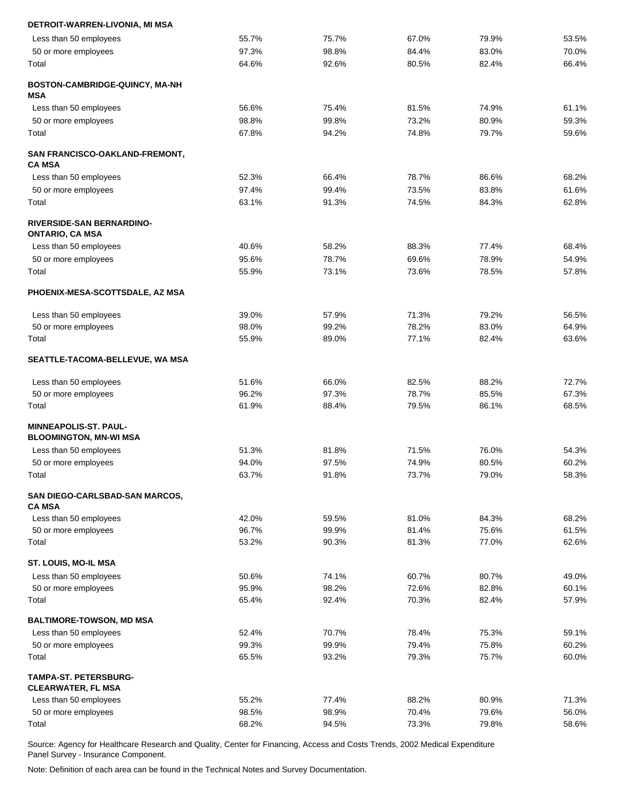| DETROIT-WARREN-LIVONIA, MI MSA                             |                |                |                |                |                |
|------------------------------------------------------------|----------------|----------------|----------------|----------------|----------------|
| Less than 50 employees                                     | 55.7%          | 75.7%          | 67.0%          | 79.9%          | 53.5%          |
| 50 or more employees                                       | 97.3%          | 98.8%          | 84.4%          | 83.0%          | 70.0%          |
| Total                                                      | 64.6%          | 92.6%          | 80.5%          | 82.4%          | 66.4%          |
| BOSTON-CAMBRIDGE-QUINCY, MA-NH<br>MSA                      |                |                |                |                |                |
| Less than 50 employees                                     | 56.6%          | 75.4%          | 81.5%          | 74.9%          | 61.1%          |
| 50 or more employees                                       | 98.8%          | 99.8%          | 73.2%          | 80.9%          | 59.3%          |
| Total                                                      | 67.8%          | 94.2%          | 74.8%          | 79.7%          | 59.6%          |
| SAN FRANCISCO-OAKLAND-FREMONT,<br><b>CA MSA</b>            |                |                |                |                |                |
| Less than 50 employees                                     | 52.3%          | 66.4%          | 78.7%          | 86.6%          | 68.2%          |
| 50 or more employees                                       | 97.4%          | 99.4%          | 73.5%          | 83.8%          | 61.6%          |
| Total                                                      | 63.1%          | 91.3%          | 74.5%          | 84.3%          | 62.8%          |
| <b>RIVERSIDE-SAN BERNARDINO-</b><br><b>ONTARIO, CA MSA</b> |                |                |                |                |                |
| Less than 50 employees                                     | 40.6%          | 58.2%          | 88.3%          | 77.4%          | 68.4%          |
| 50 or more employees                                       | 95.6%          | 78.7%          | 69.6%          | 78.9%          | 54.9%          |
| Total                                                      | 55.9%          | 73.1%          | 73.6%          | 78.5%          | 57.8%          |
| PHOENIX-MESA-SCOTTSDALE, AZ MSA                            |                |                |                |                |                |
| Less than 50 employees                                     | 39.0%          | 57.9%          | 71.3%          | 79.2%          | 56.5%          |
| 50 or more employees                                       | 98.0%          | 99.2%          | 78.2%          | 83.0%          | 64.9%          |
| Total                                                      | 55.9%          | 89.0%          | 77.1%          | 82.4%          | 63.6%          |
| SEATTLE-TACOMA-BELLEVUE, WA MSA                            |                |                |                |                |                |
| Less than 50 employees                                     | 51.6%          | 66.0%          | 82.5%          | 88.2%          | 72.7%          |
| 50 or more employees                                       | 96.2%          | 97.3%          | 78.7%          | 85.5%          | 67.3%          |
| Total                                                      | 61.9%          | 88.4%          | 79.5%          | 86.1%          | 68.5%          |
| MINNEAPOLIS-ST. PAUL-<br><b>BLOOMINGTON, MN-WI MSA</b>     |                |                |                |                |                |
| Less than 50 employees                                     | 51.3%          | 81.8%          | 71.5%          | 76.0%          | 54.3%          |
| 50 or more employees                                       | 94.0%          | 97.5%          | 74.9%          | 80.5%          | 60.2%          |
| Total                                                      | 63.7%          | 91.8%          | 73.7%          | 79.0%          | 58.3%          |
| SAN DIEGO-CARLSBAD-SAN MARCOS,                             |                |                |                |                |                |
| <b>CA MSA</b><br>Less than 50 employees                    | 42.0%          | 59.5%          | 81.0%          | 84.3%          | 68.2%          |
| 50 or more employees                                       | 96.7%          | 99.9%          | 81.4%          | 75.6%          | 61.5%          |
| Total                                                      | 53.2%          | 90.3%          | 81.3%          | 77.0%          | 62.6%          |
| ST. LOUIS, MO-IL MSA                                       |                |                |                |                |                |
| Less than 50 employees                                     | 50.6%          | 74.1%          | 60.7%          | 80.7%          | 49.0%          |
| 50 or more employees                                       | 95.9%          | 98.2%          | 72.6%          | 82.8%          | 60.1%          |
| Total                                                      | 65.4%          | 92.4%          | 70.3%          | 82.4%          | 57.9%          |
| <b>BALTIMORE-TOWSON, MD MSA</b>                            |                |                |                |                |                |
| Less than 50 employees                                     | 52.4%          | 70.7%          | 78.4%          | 75.3%          | 59.1%          |
| 50 or more employees<br>Total                              | 99.3%<br>65.5% | 99.9%<br>93.2% | 79.4%<br>79.3% | 75.8%<br>75.7% | 60.2%<br>60.0% |
|                                                            |                |                |                |                |                |
| <b>TAMPA-ST. PETERSBURG-</b><br><b>CLEARWATER, FL MSA</b>  |                |                |                |                |                |
| Less than 50 employees                                     | 55.2%          | 77.4%          | 88.2%          | 80.9%          | 71.3%          |
| 50 or more employees                                       | 98.5%          | 98.9%          | 70.4%          | 79.6%          | 56.0%          |
| Total                                                      | 68.2%          | 94.5%          | 73.3%          | 79.8%          | 58.6%          |
|                                                            |                |                |                |                |                |

Note: Definition of each area can be found in the Technical Notes and Survey Documentation.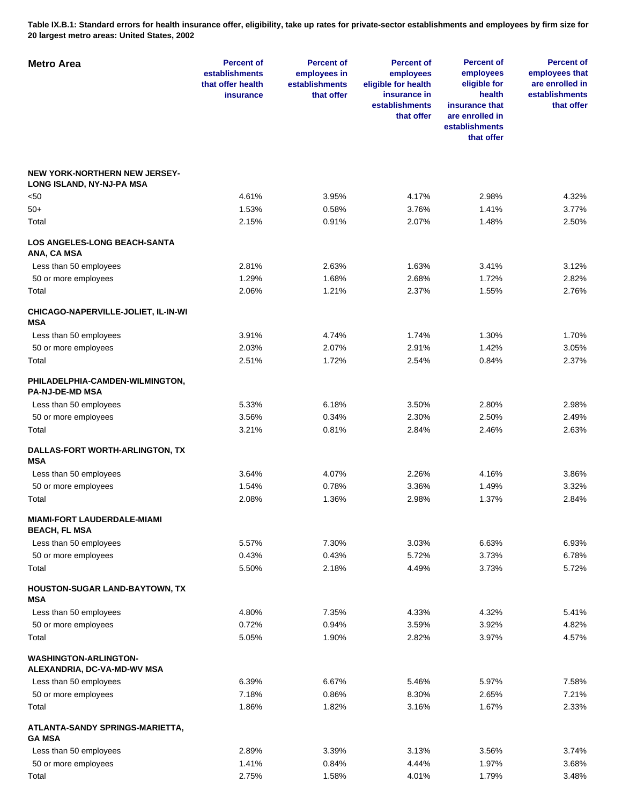**Table IX.B.1: Standard errors for health insurance offer, eligibility, take up rates for private-sector establishments and employees by firm size for 20 largest metro areas: United States, 2002** 

| <b>Metro Area</b>                                                 | <b>Percent of</b><br>establishments<br>that offer health<br>insurance | <b>Percent of</b><br>employees in<br>establishments<br>that offer | <b>Percent of</b><br>employees<br>eligible for health<br>insurance in<br>establishments<br>that offer | <b>Percent of</b><br>employees<br>eligible for<br>health<br>insurance that<br>are enrolled in<br>establishments<br>that offer | <b>Percent of</b><br>employees that<br>are enrolled in<br>establishments<br>that offer |
|-------------------------------------------------------------------|-----------------------------------------------------------------------|-------------------------------------------------------------------|-------------------------------------------------------------------------------------------------------|-------------------------------------------------------------------------------------------------------------------------------|----------------------------------------------------------------------------------------|
| <b>NEW YORK-NORTHERN NEW JERSEY-</b><br>LONG ISLAND, NY-NJ-PA MSA |                                                                       |                                                                   |                                                                                                       |                                                                                                                               |                                                                                        |
| <50                                                               | 4.61%                                                                 | 3.95%                                                             | 4.17%                                                                                                 | 2.98%                                                                                                                         | 4.32%                                                                                  |
| 50+                                                               | 1.53%                                                                 | 0.58%                                                             | 3.76%                                                                                                 | 1.41%                                                                                                                         | 3.77%                                                                                  |
| Total                                                             | 2.15%                                                                 | 0.91%                                                             | 2.07%                                                                                                 | 1.48%                                                                                                                         | 2.50%                                                                                  |
| <b>LOS ANGELES-LONG BEACH-SANTA</b><br>ANA, CA MSA                |                                                                       |                                                                   |                                                                                                       |                                                                                                                               |                                                                                        |
| Less than 50 employees                                            | 2.81%                                                                 | 2.63%                                                             | 1.63%                                                                                                 | 3.41%                                                                                                                         | 3.12%                                                                                  |
| 50 or more employees                                              | 1.29%                                                                 | 1.68%                                                             | 2.68%                                                                                                 | 1.72%                                                                                                                         | 2.82%                                                                                  |
| Total                                                             | 2.06%                                                                 | 1.21%                                                             | 2.37%                                                                                                 | 1.55%                                                                                                                         | 2.76%                                                                                  |
| CHICAGO-NAPERVILLE-JOLIET, IL-IN-WI<br><b>MSA</b>                 |                                                                       |                                                                   |                                                                                                       |                                                                                                                               |                                                                                        |
| Less than 50 employees                                            | 3.91%                                                                 | 4.74%                                                             | 1.74%                                                                                                 | 1.30%                                                                                                                         | 1.70%                                                                                  |
| 50 or more employees                                              | 2.03%                                                                 | 2.07%                                                             | 2.91%                                                                                                 | 1.42%                                                                                                                         | 3.05%                                                                                  |
| Total                                                             | 2.51%                                                                 | 1.72%                                                             | 2.54%                                                                                                 | 0.84%                                                                                                                         | 2.37%                                                                                  |
| PHILADELPHIA-CAMDEN-WILMINGTON,<br><b>PA-NJ-DE-MD MSA</b>         |                                                                       |                                                                   |                                                                                                       |                                                                                                                               |                                                                                        |
| Less than 50 employees                                            | 5.33%                                                                 | 6.18%                                                             | 3.50%                                                                                                 | 2.80%                                                                                                                         | 2.98%                                                                                  |
| 50 or more employees                                              | 3.56%                                                                 | 0.34%                                                             | 2.30%                                                                                                 | 2.50%                                                                                                                         | 2.49%                                                                                  |
| Total                                                             | 3.21%                                                                 | 0.81%                                                             | 2.84%                                                                                                 | 2.46%                                                                                                                         | 2.63%                                                                                  |
| DALLAS-FORT WORTH-ARLINGTON, TX<br><b>MSA</b>                     |                                                                       |                                                                   |                                                                                                       |                                                                                                                               |                                                                                        |
| Less than 50 employees                                            | 3.64%                                                                 | 4.07%                                                             | 2.26%                                                                                                 | 4.16%                                                                                                                         | 3.86%                                                                                  |
| 50 or more employees                                              | 1.54%                                                                 | 0.78%                                                             | 3.36%                                                                                                 | 1.49%                                                                                                                         | 3.32%                                                                                  |
| Total                                                             | 2.08%                                                                 | 1.36%                                                             | 2.98%                                                                                                 | 1.37%                                                                                                                         | 2.84%                                                                                  |
| <b>MIAMI-FORT LAUDERDALE-MIAMI</b><br><b>BEACH, FL MSA</b>        |                                                                       |                                                                   |                                                                                                       |                                                                                                                               |                                                                                        |
| Less than 50 employees                                            | 5.57%                                                                 | 7.30%                                                             | 3.03%                                                                                                 | 6.63%                                                                                                                         | 6.93%                                                                                  |
| 50 or more employees                                              | 0.43%                                                                 | 0.43%                                                             | 5.72%                                                                                                 | 3.73%                                                                                                                         | 6.78%                                                                                  |
| Total                                                             | 5.50%                                                                 | 2.18%                                                             | 4.49%                                                                                                 | 3.73%                                                                                                                         | 5.72%                                                                                  |
| HOUSTON-SUGAR LAND-BAYTOWN, TX<br>MSA                             |                                                                       |                                                                   |                                                                                                       |                                                                                                                               |                                                                                        |
| Less than 50 employees                                            | 4.80%                                                                 | 7.35%                                                             | 4.33%                                                                                                 | 4.32%                                                                                                                         | 5.41%                                                                                  |
| 50 or more employees                                              | 0.72%                                                                 | 0.94%                                                             | 3.59%                                                                                                 | 3.92%                                                                                                                         | 4.82%                                                                                  |
| Total                                                             | 5.05%                                                                 | 1.90%                                                             | 2.82%                                                                                                 | 3.97%                                                                                                                         | 4.57%                                                                                  |
| <b>WASHINGTON-ARLINGTON-</b><br>ALEXANDRIA, DC-VA-MD-WV MSA       |                                                                       |                                                                   |                                                                                                       |                                                                                                                               |                                                                                        |
| Less than 50 employees                                            | 6.39%                                                                 | 6.67%                                                             | 5.46%                                                                                                 | 5.97%                                                                                                                         | 7.58%                                                                                  |
| 50 or more employees                                              | 7.18%                                                                 | 0.86%                                                             | 8.30%                                                                                                 | 2.65%                                                                                                                         | 7.21%                                                                                  |
| Total                                                             | 1.86%                                                                 | 1.82%                                                             | 3.16%                                                                                                 | 1.67%                                                                                                                         | 2.33%                                                                                  |
| ATLANTA-SANDY SPRINGS-MARIETTA,<br><b>GA MSA</b>                  |                                                                       |                                                                   |                                                                                                       |                                                                                                                               |                                                                                        |
| Less than 50 employees                                            | 2.89%                                                                 | 3.39%                                                             | 3.13%                                                                                                 | 3.56%                                                                                                                         | 3.74%                                                                                  |
| 50 or more employees                                              | 1.41%                                                                 | 0.84%                                                             | 4.44%                                                                                                 | 1.97%                                                                                                                         | 3.68%                                                                                  |
| Total                                                             | 2.75%                                                                 | 1.58%                                                             | 4.01%                                                                                                 | 1.79%                                                                                                                         | 3.48%                                                                                  |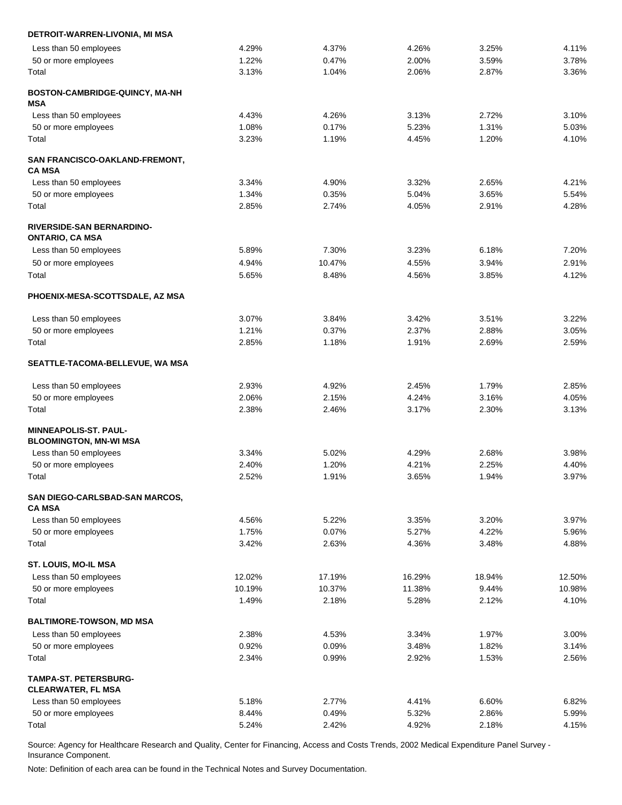| DETROIT-WARREN-LIVONIA, MI MSA                             |        |        |        |        |        |
|------------------------------------------------------------|--------|--------|--------|--------|--------|
| Less than 50 employees                                     | 4.29%  | 4.37%  | 4.26%  | 3.25%  | 4.11%  |
| 50 or more employees                                       | 1.22%  | 0.47%  | 2.00%  | 3.59%  | 3.78%  |
| Total                                                      | 3.13%  | 1.04%  | 2.06%  | 2.87%  | 3.36%  |
| BOSTON-CAMBRIDGE-QUINCY, MA-NH<br>MSA                      |        |        |        |        |        |
| Less than 50 employees                                     | 4.43%  | 4.26%  | 3.13%  | 2.72%  | 3.10%  |
| 50 or more employees                                       | 1.08%  | 0.17%  | 5.23%  | 1.31%  | 5.03%  |
| Total                                                      | 3.23%  | 1.19%  | 4.45%  | 1.20%  | 4.10%  |
| SAN FRANCISCO-OAKLAND-FREMONT,<br><b>CA MSA</b>            |        |        |        |        |        |
| Less than 50 employees                                     | 3.34%  | 4.90%  | 3.32%  | 2.65%  | 4.21%  |
| 50 or more employees                                       | 1.34%  | 0.35%  | 5.04%  | 3.65%  | 5.54%  |
| Total                                                      | 2.85%  | 2.74%  | 4.05%  | 2.91%  | 4.28%  |
| <b>RIVERSIDE-SAN BERNARDINO-</b><br><b>ONTARIO, CA MSA</b> |        |        |        |        |        |
| Less than 50 employees                                     | 5.89%  | 7.30%  | 3.23%  | 6.18%  | 7.20%  |
| 50 or more employees                                       | 4.94%  | 10.47% | 4.55%  | 3.94%  | 2.91%  |
| Total                                                      | 5.65%  | 8.48%  | 4.56%  | 3.85%  | 4.12%  |
| PHOENIX-MESA-SCOTTSDALE, AZ MSA                            |        |        |        |        |        |
| Less than 50 employees                                     | 3.07%  | 3.84%  | 3.42%  | 3.51%  | 3.22%  |
| 50 or more employees                                       | 1.21%  | 0.37%  | 2.37%  | 2.88%  | 3.05%  |
| Total                                                      | 2.85%  | 1.18%  | 1.91%  | 2.69%  | 2.59%  |
| SEATTLE-TACOMA-BELLEVUE, WA MSA                            |        |        |        |        |        |
| Less than 50 employees                                     | 2.93%  | 4.92%  | 2.45%  | 1.79%  | 2.85%  |
| 50 or more employees                                       | 2.06%  | 2.15%  | 4.24%  | 3.16%  | 4.05%  |
| Total                                                      | 2.38%  | 2.46%  | 3.17%  | 2.30%  | 3.13%  |
| <b>MINNEAPOLIS-ST. PAUL-</b>                               |        |        |        |        |        |
| <b>BLOOMINGTON, MN-WI MSA</b>                              |        |        |        |        |        |
| Less than 50 employees                                     | 3.34%  | 5.02%  | 4.29%  | 2.68%  | 3.98%  |
| 50 or more employees                                       | 2.40%  | 1.20%  | 4.21%  | 2.25%  | 4.40%  |
| Total                                                      | 2.52%  | 1.91%  | 3.65%  | 1.94%  | 3.97%  |
| SAN DIEGO-CARLSBAD-SAN MARCOS,<br><b>CA MSA</b>            |        |        |        |        |        |
| Less than 50 employees                                     | 4.56%  | 5.22%  | 3.35%  | 3.20%  | 3.97%  |
| 50 or more employees                                       | 1.75%  | 0.07%  | 5.27%  | 4.22%  | 5.96%  |
| Total                                                      | 3.42%  | 2.63%  | 4.36%  | 3.48%  | 4.88%  |
| ST. LOUIS, MO-IL MSA                                       |        |        |        |        |        |
| Less than 50 employees                                     | 12.02% | 17.19% | 16.29% | 18.94% | 12.50% |
| 50 or more employees                                       | 10.19% | 10.37% | 11.38% | 9.44%  | 10.98% |
| Total                                                      | 1.49%  | 2.18%  | 5.28%  | 2.12%  | 4.10%  |
| <b>BALTIMORE-TOWSON, MD MSA</b>                            |        |        |        |        |        |
| Less than 50 employees                                     | 2.38%  | 4.53%  | 3.34%  | 1.97%  | 3.00%  |
| 50 or more employees                                       | 0.92%  | 0.09%  | 3.48%  | 1.82%  | 3.14%  |
| Total                                                      | 2.34%  | 0.99%  | 2.92%  | 1.53%  | 2.56%  |
| <b>TAMPA-ST. PETERSBURG-</b><br><b>CLEARWATER, FL MSA</b>  |        |        |        |        |        |
| Less than 50 employees                                     | 5.18%  | 2.77%  | 4.41%  | 6.60%  | 6.82%  |
| 50 or more employees                                       | 8.44%  | 0.49%  | 5.32%  | 2.86%  | 5.99%  |
| Total                                                      | 5.24%  | 2.42%  | 4.92%  | 2.18%  | 4.15%  |
|                                                            |        |        |        |        |        |

Note: Definition of each area can be found in the Technical Notes and Survey Documentation.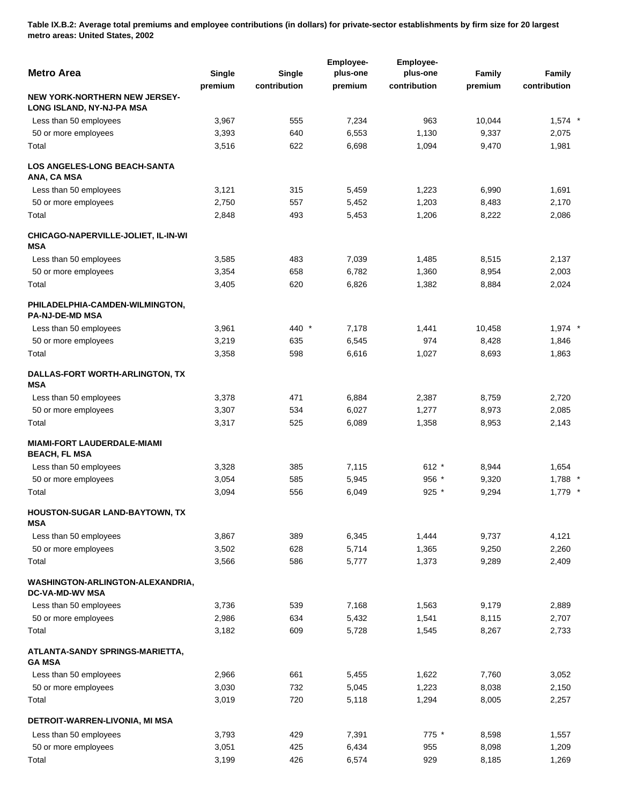**Table IX.B.2: Average total premiums and employee contributions (in dollars) for private-sector establishments by firm size for 20 largest metro areas: United States, 2002** 

| <b>Metro Area</b>                                                 | Single  | <b>Single</b> | Employee-<br>plus-one | Employee-<br>plus-one | Family  | Family       |
|-------------------------------------------------------------------|---------|---------------|-----------------------|-----------------------|---------|--------------|
|                                                                   | premium | contribution  | premium               | contribution          | premium | contribution |
| <b>NEW YORK-NORTHERN NEW JERSEY-</b><br>LONG ISLAND, NY-NJ-PA MSA |         |               |                       |                       |         |              |
| Less than 50 employees                                            | 3,967   | 555           | 7,234                 | 963                   | 10,044  | $1,574$ *    |
| 50 or more employees                                              | 3,393   | 640           | 6,553                 | 1,130                 | 9,337   | 2,075        |
| Total                                                             | 3,516   | 622           | 6,698                 | 1,094                 | 9,470   | 1,981        |
| <b>LOS ANGELES-LONG BEACH-SANTA</b><br>ANA, CA MSA                |         |               |                       |                       |         |              |
| Less than 50 employees                                            | 3,121   | 315           | 5,459                 | 1,223                 | 6,990   | 1,691        |
| 50 or more employees                                              | 2,750   | 557           | 5,452                 | 1,203                 | 8,483   | 2,170        |
| Total                                                             | 2,848   | 493           | 5,453                 | 1,206                 | 8,222   | 2,086        |
| CHICAGO-NAPERVILLE-JOLIET, IL-IN-WI<br><b>MSA</b>                 |         |               |                       |                       |         |              |
| Less than 50 employees                                            | 3,585   | 483           | 7,039                 | 1,485                 | 8,515   | 2,137        |
| 50 or more employees                                              | 3,354   | 658           | 6,782                 | 1,360                 | 8,954   | 2,003        |
| Total                                                             | 3,405   | 620           | 6,826                 | 1,382                 | 8,884   | 2,024        |
| PHILADELPHIA-CAMDEN-WILMINGTON,<br>PA-NJ-DE-MD MSA                |         |               |                       |                       |         |              |
| Less than 50 employees                                            | 3,961   | 440 *         | 7,178                 | 1,441                 | 10,458  | $1,974$ *    |
| 50 or more employees                                              | 3,219   | 635           | 6,545                 | 974                   | 8,428   | 1,846        |
| Total                                                             | 3,358   | 598           | 6,616                 | 1,027                 | 8,693   | 1,863        |
| DALLAS-FORT WORTH-ARLINGTON, TX<br><b>MSA</b>                     |         |               |                       |                       |         |              |
| Less than 50 employees                                            | 3,378   | 471           | 6,884                 | 2,387                 | 8,759   | 2,720        |
| 50 or more employees                                              | 3,307   | 534           | 6,027                 | 1,277                 | 8,973   | 2,085        |
| Total                                                             | 3,317   | 525           | 6,089                 | 1,358                 | 8,953   | 2,143        |
| <b>MIAMI-FORT LAUDERDALE-MIAMI</b><br><b>BEACH, FL MSA</b>        |         |               |                       |                       |         |              |
| Less than 50 employees                                            | 3,328   | 385           | 7,115                 | $612 *$               | 8,944   | 1,654        |
| 50 or more employees                                              | 3,054   | 585           | 5,945                 | 956 *                 | 9,320   | 1,788 *      |
| Total                                                             | 3,094   | 556           | 6,049                 | $925$ *               | 9,294   | $1,779$ *    |
| HOUSTON-SUGAR LAND-BAYTOWN, TX<br>MSA                             |         |               |                       |                       |         |              |
| Less than 50 employees                                            | 3,867   | 389           | 6,345                 | 1,444                 | 9,737   | 4,121        |
| 50 or more employees                                              | 3,502   | 628           | 5,714                 | 1,365                 | 9,250   | 2,260        |
| Total                                                             | 3,566   | 586           | 5,777                 | 1,373                 | 9,289   | 2,409        |
| WASHINGTON-ARLINGTON-ALEXANDRIA,<br><b>DC-VA-MD-WV MSA</b>        |         |               |                       |                       |         |              |
| Less than 50 employees                                            | 3,736   | 539           | 7,168                 | 1,563                 | 9,179   | 2,889        |
| 50 or more employees                                              | 2,986   | 634           | 5,432                 | 1,541                 | 8,115   | 2,707        |
| Total                                                             | 3,182   | 609           | 5,728                 | 1,545                 | 8,267   | 2,733        |
| ATLANTA-SANDY SPRINGS-MARIETTA,<br><b>GA MSA</b>                  |         |               |                       |                       |         |              |
| Less than 50 employees                                            | 2,966   | 661           | 5,455                 | 1,622                 | 7,760   | 3,052        |
| 50 or more employees                                              | 3,030   | 732           | 5,045                 | 1,223                 | 8,038   | 2,150        |
| Total                                                             | 3,019   | 720           | 5,118                 | 1,294                 | 8,005   | 2,257        |
| DETROIT-WARREN-LIVONIA, MI MSA                                    |         |               |                       |                       |         |              |
| Less than 50 employees                                            | 3,793   | 429           | 7,391                 | 775 *                 | 8,598   | 1,557        |
| 50 or more employees                                              | 3,051   | 425           | 6,434                 | 955                   | 8,098   | 1,209        |
| Total                                                             | 3,199   | 426           | 6,574                 | 929                   | 8,185   | 1,269        |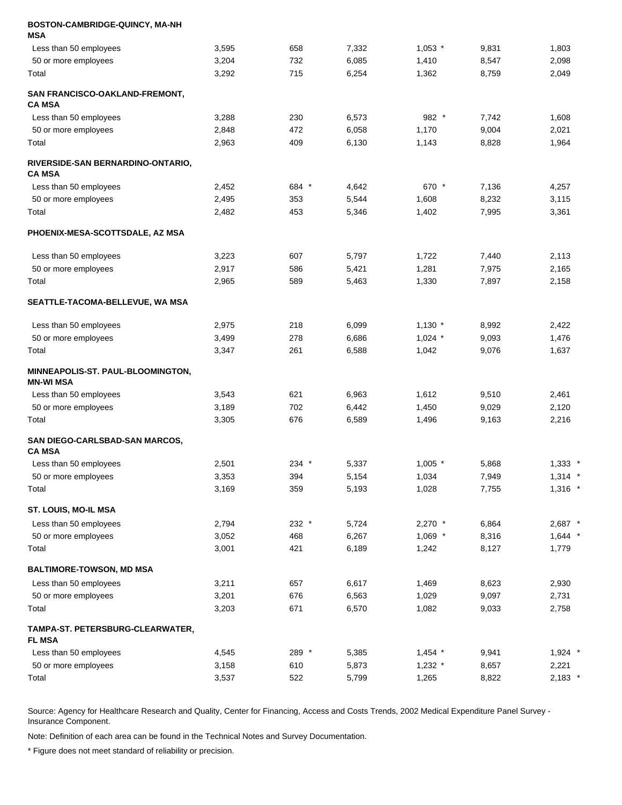| BOSTON-CAMBRIDGE-QUINCY, MA-NH<br>MSA                 |       |       |       |           |       |           |
|-------------------------------------------------------|-------|-------|-------|-----------|-------|-----------|
| Less than 50 employees                                | 3,595 | 658   | 7,332 | $1,053$ * | 9,831 | 1,803     |
| 50 or more employees                                  | 3,204 | 732   | 6,085 | 1,410     | 8,547 | 2,098     |
| Total                                                 | 3,292 | 715   | 6,254 | 1,362     | 8,759 | 2,049     |
| SAN FRANCISCO-OAKLAND-FREMONT,<br>CA MSA              |       |       |       |           |       |           |
| Less than 50 employees                                | 3,288 | 230   | 6,573 | 982 *     | 7,742 | 1,608     |
| 50 or more employees                                  | 2,848 | 472   | 6,058 | 1,170     | 9,004 | 2,021     |
| Total                                                 | 2,963 | 409   | 6,130 | 1,143     | 8,828 | 1,964     |
| RIVERSIDE-SAN BERNARDINO-ONTARIO,<br><b>CA MSA</b>    |       |       |       |           |       |           |
| Less than 50 employees                                | 2,452 | 684 * | 4,642 | 670 *     | 7,136 | 4,257     |
| 50 or more employees                                  | 2,495 | 353   | 5,544 | 1,608     | 8,232 | 3,115     |
| Total                                                 | 2,482 | 453   | 5,346 | 1,402     | 7,995 | 3,361     |
| PHOENIX-MESA-SCOTTSDALE, AZ MSA                       |       |       |       |           |       |           |
| Less than 50 employees                                | 3,223 | 607   | 5,797 | 1,722     | 7,440 | 2,113     |
| 50 or more employees                                  | 2,917 | 586   | 5,421 | 1,281     | 7,975 | 2,165     |
| Total                                                 | 2,965 | 589   | 5,463 | 1,330     | 7,897 | 2,158     |
| SEATTLE-TACOMA-BELLEVUE, WA MSA                       |       |       |       |           |       |           |
| Less than 50 employees                                | 2,975 | 218   | 6,099 | $1,130$ * | 8,992 | 2,422     |
| 50 or more employees                                  | 3,499 | 278   | 6,686 | $1,024$ * | 9,093 | 1,476     |
| Total                                                 | 3,347 | 261   | 6,588 | 1,042     | 9,076 | 1,637     |
| <b>MINNEAPOLIS-ST. PAUL-BLOOMINGTON,</b><br>MN-WI MSA |       |       |       |           |       |           |
| Less than 50 employees                                | 3,543 | 621   | 6,963 | 1,612     | 9,510 | 2,461     |
| 50 or more employees                                  | 3,189 | 702   | 6,442 | 1,450     | 9,029 | 2,120     |
| Total                                                 | 3,305 | 676   | 6,589 | 1,496     | 9,163 | 2,216     |
| SAN DIEGO-CARLSBAD-SAN MARCOS,<br><b>CA MSA</b>       |       |       |       |           |       |           |
| Less than 50 employees                                | 2,501 | 234 * | 5,337 | $1,005$ * | 5,868 | $1,333$ * |
| 50 or more employees                                  | 3,353 | 394   | 5,154 | 1,034     | 7,949 | $1,314$ * |
| Total                                                 | 3,169 | 359   | 5,193 | 1,028     | 7,755 | $1,316$ * |
| ST. LOUIS, MO-IL MSA                                  |       |       |       |           |       |           |
| Less than 50 employees                                | 2,794 | 232 * | 5,724 | $2,270$ * | 6,864 | 2,687 *   |
| 50 or more employees                                  | 3,052 | 468   | 6,267 | $1,069$ * | 8,316 | $1,644$ * |
| Total                                                 | 3,001 | 421   | 6,189 | 1,242     | 8,127 | 1,779     |
| BALTIMORE-TOWSON, MD MSA                              |       |       |       |           |       |           |
| Less than 50 employees                                | 3,211 | 657   | 6,617 | 1,469     | 8,623 | 2,930     |
| 50 or more employees                                  | 3,201 | 676   | 6,563 | 1,029     | 9,097 | 2,731     |
| Total                                                 | 3,203 | 671   | 6,570 | 1,082     | 9,033 | 2,758     |
| TAMPA-ST. PETERSBURG-CLEARWATER,<br><b>FL MSA</b>     |       |       |       |           |       |           |
| Less than 50 employees                                | 4,545 | 289 * | 5,385 | $1,454$ * | 9,941 | $1,924$ * |
| 50 or more employees                                  | 3,158 | 610   | 5,873 | $1,232$ * | 8,657 | 2,221     |
| Total                                                 | 3,537 | 522   | 5,799 | 1,265     | 8,822 | $2,183$ * |

Note: Definition of each area can be found in the Technical Notes and Survey Documentation.

\* Figure does not meet standard of reliability or precision.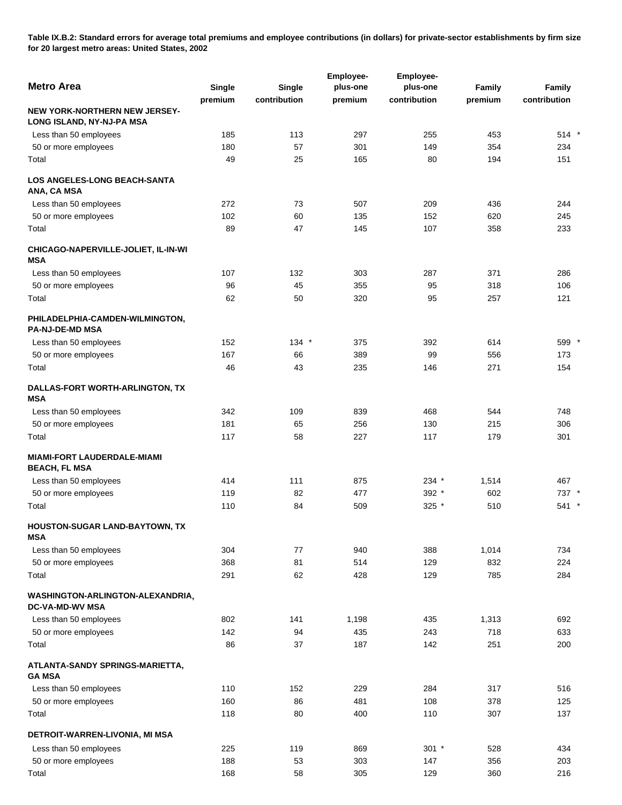**Table IX.B.2: Standard errors for average total premiums and employee contributions (in dollars) for private-sector establishments by firm size for 20 largest metro areas: United States, 2002** 

|                                                                   |         |              | Employee- | <b>Employee-</b> |         |              |
|-------------------------------------------------------------------|---------|--------------|-----------|------------------|---------|--------------|
| <b>Metro Area</b>                                                 | Single  | Single       | plus-one  | plus-one         | Family  | Family       |
|                                                                   | premium | contribution | premium   | contribution     | premium | contribution |
| <b>NEW YORK-NORTHERN NEW JERSEY-</b><br>LONG ISLAND, NY-NJ-PA MSA |         |              |           |                  |         |              |
| Less than 50 employees                                            | 185     | 113          | 297       | 255              | 453     | 514 *        |
| 50 or more employees                                              | 180     | 57           | 301       | 149              | 354     | 234          |
| Total                                                             | 49      | 25           | 165       | 80               | 194     | 151          |
| <b>LOS ANGELES-LONG BEACH-SANTA</b><br>ANA, CA MSA                |         |              |           |                  |         |              |
| Less than 50 employees                                            | 272     | 73           | 507       | 209              | 436     | 244          |
| 50 or more employees                                              | 102     | 60           | 135       | 152              | 620     | 245          |
| Total                                                             | 89      | 47           | 145       | 107              | 358     | 233          |
| CHICAGO-NAPERVILLE-JOLIET, IL-IN-WI<br><b>MSA</b>                 |         |              |           |                  |         |              |
| Less than 50 employees                                            | 107     | 132          | 303       | 287              | 371     | 286          |
| 50 or more employees                                              | 96      | 45           | 355       | 95               | 318     | 106          |
| Total                                                             | 62      | 50           | 320       | 95               | 257     | 121          |
| PHILADELPHIA-CAMDEN-WILMINGTON,<br><b>PA-NJ-DE-MD MSA</b>         |         |              |           |                  |         |              |
| Less than 50 employees                                            | 152     | $134$ *      | 375       | 392              | 614     | 599          |
| 50 or more employees                                              | 167     | 66           | 389       | 99               | 556     | 173          |
| Total                                                             | 46      | 43           | 235       | 146              | 271     | 154          |
| DALLAS-FORT WORTH-ARLINGTON, TX<br><b>MSA</b>                     |         |              |           |                  |         |              |
| Less than 50 employees                                            | 342     | 109          | 839       | 468              | 544     | 748          |
| 50 or more employees                                              | 181     | 65           | 256       | 130              | 215     | 306          |
| Total                                                             | 117     | 58           | 227       | 117              | 179     | 301          |
| <b>MIAMI-FORT LAUDERDALE-MIAMI</b><br><b>BEACH, FL MSA</b>        |         |              |           |                  |         |              |
| Less than 50 employees                                            | 414     | 111          | 875       | 234 *            | 1,514   | 467          |
| 50 or more employees                                              | 119     | 82           | 477       | 392 *            | 602     | 737 *        |
| Total                                                             | 110     | 84           | 509       | 325 *            | 510     | 541 *        |
| HOUSTON-SUGAR LAND-BAYTOWN, TX<br>MSA                             |         |              |           |                  |         |              |
| Less than 50 employees                                            | 304     | 77           | 940       | 388              | 1,014   | 734          |
| 50 or more employees                                              | 368     | 81           | 514       | 129              | 832     | 224          |
| Total                                                             | 291     | 62           | 428       | 129              | 785     | 284          |
| WASHINGTON-ARLINGTON-ALEXANDRIA,<br><b>DC-VA-MD-WV MSA</b>        |         |              |           |                  |         |              |
| Less than 50 employees                                            | 802     | 141          | 1,198     | 435              | 1,313   | 692          |
| 50 or more employees                                              | 142     | 94           | 435       | 243              | 718     | 633          |
| Total                                                             | 86      | 37           | 187       | 142              | 251     | 200          |
| ATLANTA-SANDY SPRINGS-MARIETTA,<br><b>GA MSA</b>                  |         |              |           |                  |         |              |
| Less than 50 employees                                            | 110     | 152          | 229       | 284              | 317     | 516          |
| 50 or more employees                                              | 160     | 86           | 481       | 108              | 378     | 125          |
| Total                                                             | 118     | 80           | 400       | 110              | 307     | 137          |
| DETROIT-WARREN-LIVONIA, MI MSA                                    |         |              |           |                  |         |              |
| Less than 50 employees                                            | 225     | 119          | 869       | $301 *$          | 528     | 434          |
| 50 or more employees                                              | 188     | 53           | 303       | 147              | 356     | 203          |
| Total                                                             | 168     | 58           | 305       | 129              | 360     | 216          |